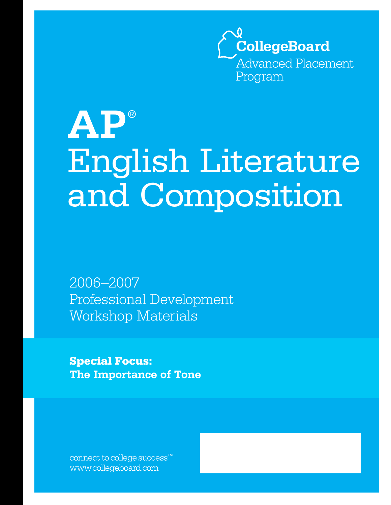

# **AP** ® English Literature and Composition

2006–2007 Professional Development Workshop Materials

**Special Focus: The Importance of Tone**

connect to college success $\mathbf{v}^{\mathsf{m}}$ www.collegeboard.com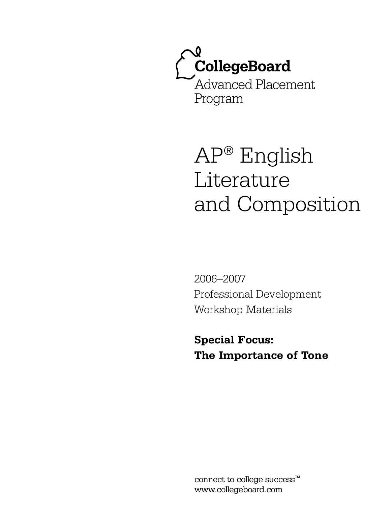

# AP® English Literature and Composition

2006–2007 Professional Development Workshop Materials

**Special Focus: The Importance of Tone**

connect to college success™ www.collegeboard.com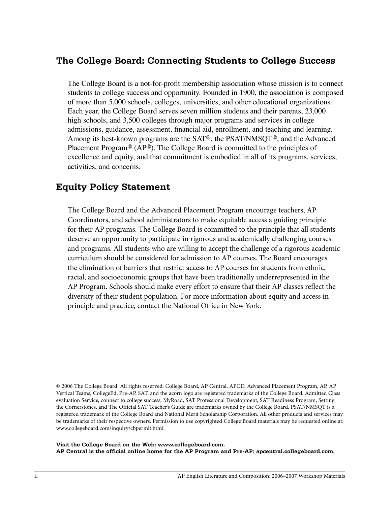# The College Board: Connecting Students to College Success

The College Board is a not-for-profit membership association whose mission is to connect students to college success and opportunity. Founded in 1900, the association is composed of more than 5,000 schools, colleges, universities, and other educational organizations. Each year, the College Board serves seven million students and their parents, 23,000 high schools, and 3,500 colleges through major programs and services in college admissions, guidance, assessment, financial aid, enrollment, and teaching and learning. Among its best-known programs are the SAT®, the PSAT/NMSQT®, and the Advanced Placement Program® (AP®). The College Board is committed to the principles of excellence and equity, and that commitment is embodied in all of its programs, services, activities, and concerns.

# **Equity Policy Statement**

The College Board and the Advanced Placement Program encourage teachers, AP Coordinators, and school administrators to make equitable access a guiding principle for their AP programs. The College Board is committed to the principle that all students deserve an opportunity to participate in rigorous and academically challenging courses and programs. All students who are willing to accept the challenge of a rigorous academic curriculum should be considered for admission to AP courses. The Board encourages the elimination of barriers that restrict access to AP courses for students from ethnic, racial, and socioeconomic groups that have been traditionally underrepresented in the AP Program. Schools should make every effort to ensure that their AP classes reflect the diversity of their student population. For more information about equity and access in principle and practice, contact the National Office in New York.

@ 2006 The College Board. All rights reserved. College Board, AP Central, APCD, Advanced Placement Program, AP, AP Vertical Teams, CollegeEd, Pre-AP, SAT, and the acorn logo are registered trademarks of the College Board. Admitted Class evaluation Service, connect to college success, MyRoad, SAT Professional Development, SAT Readiness Program, Setting the Cornerstones, and The Official SAT Teacher's Guide are trademarks owned by the College Board. PSAT/NMSQT is a registered trademark of the College Board and National Merit Scholarship Corporation. All other products and services may be trademarks of their respective owners. Permission to use copyrighted College Board materials may be requested online at: www.collegeboard.com/inquiry/cbpermit.html.

Visit the College Board on the Web: www.collegeboard.com. AP Central is the official online home for the AP Program and Pre-AP: apcentral.collegeboard.com.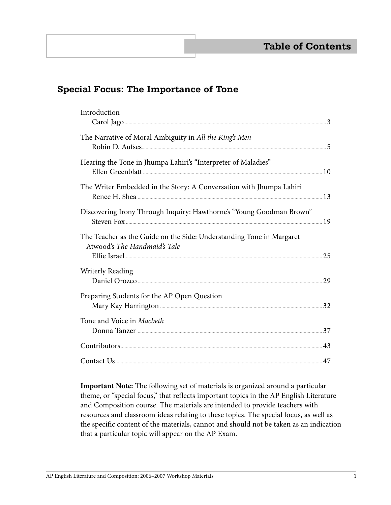# **Special Focus: The Importance of Tone**

| Introduction                                                                                         |  |
|------------------------------------------------------------------------------------------------------|--|
| The Narrative of Moral Ambiguity in All the King's Men                                               |  |
| Hearing the Tone in Jhumpa Lahiri's "Interpreter of Maladies"                                        |  |
| The Writer Embedded in the Story: A Conversation with Jhumpa Lahiri                                  |  |
| Discovering Irony Through Inquiry: Hawthorne's "Young Goodman Brown"                                 |  |
| The Teacher as the Guide on the Side: Understanding Tone in Margaret<br>Atwood's The Handmaid's Tale |  |
| <b>Writerly Reading</b>                                                                              |  |
| Preparing Students for the AP Open Question                                                          |  |
| Tone and Voice in Macbeth                                                                            |  |
|                                                                                                      |  |
|                                                                                                      |  |

 **Important Note:** The following set of materials is organized around a particular theme, or "special focus," that reflects important topics in the AP English Literature and Composition course. The materials are intended to provide teachers with resources and classroom ideas relating to these topics. The special focus, as well as the specific content of the materials, cannot and should not be taken as an indication that a particular topic will appear on the AP Exam.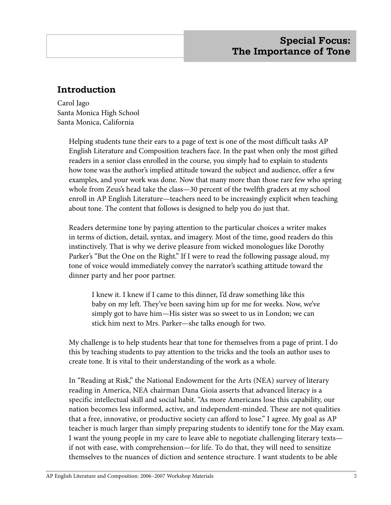# **Introduction**

Carol Jago Santa Monica High School Santa Monica, California

> Helping students tune their ears to a page of text is one of the most difficult tasks AP English Literature and Composition teachers face. In the past when only the most gifted readers in a senior class enrolled in the course, you simply had to explain to students how tone was the author's implied attitude toward the subject and audience, offer a few examples, and your work was done. Now that many more than those rare few who spring whole from Zeus's head take the class—30 percent of the twelfth graders at my school enroll in AP English Literature—teachers need to be increasingly explicit when teaching about tone. The content that follows is designed to help you do just that.

Readers determine tone by paying attention to the particular choices a writer makes in terms of diction, detail, syntax, and imagery. Most of the time, good readers do this instinctively. That is why we derive pleasure from wicked monologues like Dorothy Parker's "But the One on the Right." If I were to read the following passage aloud, my tone of voice would immediately convey the narrator's scathing attitude toward the dinner party and her poor partner.

I knew it. I knew if I came to this dinner, I'd draw something like this baby on my left. They've been saving him up for me for weeks. Now, we've simply got to have him—His sister was so sweet to us in London; we can stick him next to Mrs. Parker—she talks enough for two.

My challenge is to help students hear that tone for themselves from a page of print. I do this by teaching students to pay attention to the tricks and the tools an author uses to create tone. It is vital to their understanding of the work as a whole.

In "Reading at Risk," the National Endowment for the Arts (NEA) survey of literary reading in America, NEA chairman Dana Gioia asserts that advanced literacy is a specific intellectual skill and social habit. "As more Americans lose this capability, our nation becomes less informed, active, and independent-minded. These are not qualities that a free, innovative, or productive society can afford to lose." I agree. My goal as AP teacher is much larger than simply preparing students to identify tone for the May exam. I want the young people in my care to leave able to negotiate challenging literary texts if not with ease, with comprehension—for life. To do that, they will need to sensitize themselves to the nuances of diction and sentence structure. I want students to be able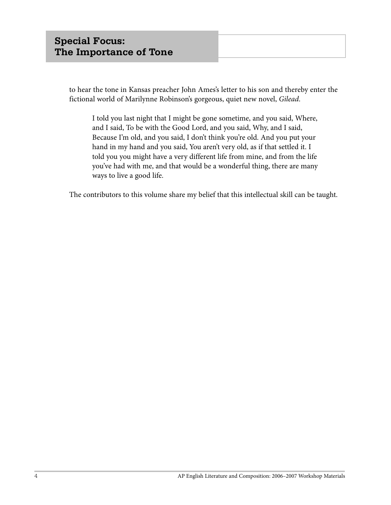to hear the tone in Kansas preacher John Ames's letter to his son and thereby enter the fictional world of Marilynne Robinson's gorgeous, quiet new novel, *Gilead*.

I told you last night that I might be gone sometime, and you said, Where, and I said, To be with the Good Lord, and you said, Why, and I said, Because I'm old, and you said, I don't think you're old. And you put your hand in my hand and you said, You aren't very old, as if that settled it. I told you you might have a very different life from mine, and from the life you've had with me, and that would be a wonderful thing, there are many ways to live a good life.

The contributors to this volume share my belief that this intellectual skill can be taught.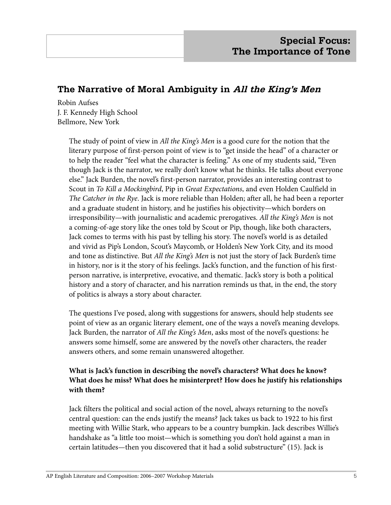# **The Narrative of Moral Ambiguity in All the King's Men**

Robin Aufses J. F. Kennedy High School Bellmore, New York

> The study of point of view in *All the King's Men* is a good cure for the notion that the literary purpose of first-person point of view is to "get inside the head" of a character or to help the reader "feel what the character is feeling." As one of my students said, "Even though Jack is the narrator, we really don't know what he thinks. He talks about everyone else." Jack Burden, the novel's first-person narrator, provides an interesting contrast to Scout in *To Kill a Mockingbird*, Pip in *Great Expectations*, and even Holden Caulfield in *The Catcher in the Rye*. Jack is more reliable than Holden; after all, he had been a reporter and a graduate student in history, and he justifies his objectivity—which borders on irresponsibility—with journalistic and academic prerogatives. *All the King's Men* is not a coming-of-age story like the ones told by Scout or Pip, though, like both characters, Jack comes to terms with his past by telling his story. The novel's world is as detailed and vivid as Pip's London, Scout's Maycomb, or Holden's New York City, and its mood and tone as distinctive. But *All the King's Men* is not just the story of Jack Burden's time in history, nor is it the story of his feelings. Jack's function, and the function of his firstperson narrative, is interpretive, evocative, and thematic. Jack's story is both a political history and a story of character, and his narration reminds us that, in the end, the story of politics is always a story about character.

The questions I've posed, along with suggestions for answers, should help students see point of view as an organic literary element, one of the ways a novel's meaning develops. Jack Burden, the narrator of *All the King's Men*, asks most of the novel's questions: he answers some himself, some are answered by the novel's other characters, the reader answers others, and some remain unanswered altogether.

#### **What is Jack's function in describing the novel's characters? What does he know? What does he miss? What does he misinterpret? How does he justify his relationships with them?**

Jack filters the political and social action of the novel, always returning to the novel's central question: can the ends justify the means? Jack takes us back to 1922 to his first meeting with Willie Stark, who appears to be a country bumpkin. Jack describes Willie's handshake as "a little too moist—which is something you don't hold against a man in certain latitudes—then you discovered that it had a solid substructure" (15). Jack is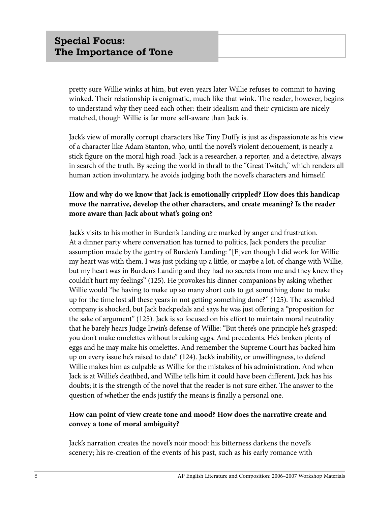pretty sure Willie winks at him, but even years later Willie refuses to commit to having winked. Their relationship is enigmatic, much like that wink. The reader, however, begins to understand why they need each other: their idealism and their cynicism are nicely matched, though Willie is far more self-aware than Jack is.

Jack's view of morally corrupt characters like Tiny Duffy is just as dispassionate as his view of a character like Adam Stanton, who, until the novel's violent denouement, is nearly a stick figure on the moral high road. Jack is a researcher, a reporter, and a detective, always in search of the truth. By seeing the world in thrall to the "Great Twitch," which renders all human action involuntary, he avoids judging both the novel's characters and himself.

#### **How and why do we know that Jack is emotionally crippled? How does this handicap move the narrative, develop the other characters, and create meaning? Is the reader more aware than Jack about what's going on?**

Jack's visits to his mother in Burden's Landing are marked by anger and frustration. At a dinner party where conversation has turned to politics, Jack ponders the peculiar assumption made by the gentry of Burden's Landing: "[E]ven though I did work for Willie my heart was with them. I was just picking up a little, or maybe a lot, of change with Willie, but my heart was in Burden's Landing and they had no secrets from me and they knew they couldn't hurt my feelings" (125). He provokes his dinner companions by asking whether Willie would "be having to make up so many short cuts to get something done to make up for the time lost all these years in not getting something done?" (125). The assembled company is shocked, but Jack backpedals and says he was just offering a "proposition for the sake of argument" (125). Jack is so focused on his effort to maintain moral neutrality that he barely hears Judge Irwin's defense of Willie: "But there's one principle he's grasped: you don't make omelettes without breaking eggs. And precedents. He's broken plenty of eggs and he may make his omelettes. And remember the Supreme Court has backed him up on every issue he's raised to date" (124). Jack's inability, or unwillingness, to defend Willie makes him as culpable as Willie for the mistakes of his administration. And when Jack is at Willie's deathbed, and Willie tells him it could have been different, Jack has his doubts; it is the strength of the novel that the reader is not sure either. The answer to the question of whether the ends justify the means is finally a personal one.

#### **How can point of view create tone and mood? How does the narrative create and convey a tone of moral ambiguity?**

Jack's narration creates the novel's noir mood: his bitterness darkens the novel's scenery; his re-creation of the events of his past, such as his early romance with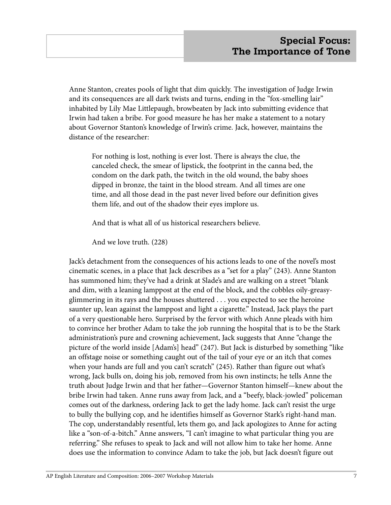Anne Stanton, creates pools of light that dim quickly. The investigation of Judge Irwin and its consequences are all dark twists and turns, ending in the "fox-smelling lair" inhabited by Lily Mae Littlepaugh, browbeaten by Jack into submitting evidence that Irwin had taken a bribe. For good measure he has her make a statement to a notary about Governor Stanton's knowledge of Irwin's crime. Jack, however, maintains the distance of the researcher:

For nothing is lost, nothing is ever lost. There is always the clue, the canceled check, the smear of lipstick, the footprint in the canna bed, the condom on the dark path, the twitch in the old wound, the baby shoes dipped in bronze, the taint in the blood stream. And all times are one time, and all those dead in the past never lived before our definition gives them life, and out of the shadow their eyes implore us.

And that is what all of us historical researchers believe.

And we love truth. (228)

Jack's detachment from the consequences of his actions leads to one of the novel's most cinematic scenes, in a place that Jack describes as a "set for a play" (243). Anne Stanton has summoned him; they've had a drink at Slade's and are walking on a street "blank and dim, with a leaning lamppost at the end of the block, and the cobbles oily-greasyglimmering in its rays and the houses shuttered . . . you expected to see the heroine saunter up, lean against the lamppost and light a cigarette." Instead, Jack plays the part of a very questionable hero. Surprised by the fervor with which Anne pleads with him to convince her brother Adam to take the job running the hospital that is to be the Stark administration's pure and crowning achievement, Jack suggests that Anne "change the picture of the world inside [Adam's] head" (247). But Jack is disturbed by something "like an offstage noise or something caught out of the tail of your eye or an itch that comes when your hands are full and you can't scratch" (245). Rather than figure out what's wrong, Jack bulls on, doing his job, removed from his own instincts; he tells Anne the truth about Judge Irwin and that her father—Governor Stanton himself—knew about the bribe Irwin had taken. Anne runs away from Jack, and a "beefy, black-jowled" policeman comes out of the darkness, ordering Jack to get the lady home. Jack can't resist the urge to bully the bullying cop, and he identifies himself as Governor Stark's right-hand man. The cop, understandably resentful, lets them go, and Jack apologizes to Anne for acting like a "son-of-a-bitch." Anne answers, "I can't imagine to what particular thing you are referring." She refuses to speak to Jack and will not allow him to take her home. Anne does use the information to convince Adam to take the job, but Jack doesn't figure out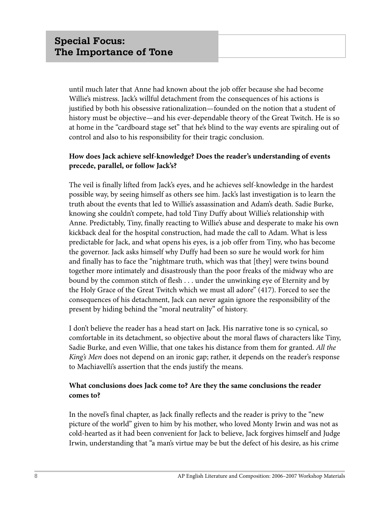until much later that Anne had known about the job offer because she had become Willie's mistress. Jack's willful detachment from the consequences of his actions is justified by both his obsessive rationalization—founded on the notion that a student of history must be objective—and his ever-dependable theory of the Great Twitch. He is so at home in the "cardboard stage set" that he's blind to the way events are spiraling out of control and also to his responsibility for their tragic conclusion.

#### **How does Jack achieve self-knowledge? Does the reader's understanding of events precede, parallel, or follow Jack's?**

The veil is finally lifted from Jack's eyes, and he achieves self-knowledge in the hardest possible way, by seeing himself as others see him. Jack's last investigation is to learn the truth about the events that led to Willie's assassination and Adam's death. Sadie Burke, knowing she couldn't compete, had told Tiny Duffy about Willie's relationship with Anne. Predictably, Tiny, finally reacting to Willie's abuse and desperate to make his own kickback deal for the hospital construction, had made the call to Adam. What is less predictable for Jack, and what opens his eyes, is a job offer from Tiny, who has become the governor. Jack asks himself why Duffy had been so sure he would work for him and finally has to face the "nightmare truth, which was that [they] were twins bound together more intimately and disastrously than the poor freaks of the midway who are bound by the common stitch of flesh . . . under the unwinking eye of Eternity and by the Holy Grace of the Great Twitch which we must all adore" (417). Forced to see the consequences of his detachment, Jack can never again ignore the responsibility of the present by hiding behind the "moral neutrality" of history.

I don't believe the reader has a head start on Jack. His narrative tone is so cynical, so comfortable in its detachment, so objective about the moral flaws of characters like Tiny, Sadie Burke, and even Willie, that one takes his distance from them for granted. *All the King's Men* does not depend on an ironic gap; rather, it depends on the reader's response to Machiavelli's assertion that the ends justify the means.

#### **What conclusions does Jack come to? Are they the same conclusions the reader comes to?**

In the novel's final chapter, as Jack finally reflects and the reader is privy to the "new picture of the world" given to him by his mother, who loved Monty Irwin and was not as cold-hearted as it had been convenient for Jack to believe, Jack forgives himself and Judge Irwin, understanding that "a man's virtue may be but the defect of his desire, as his crime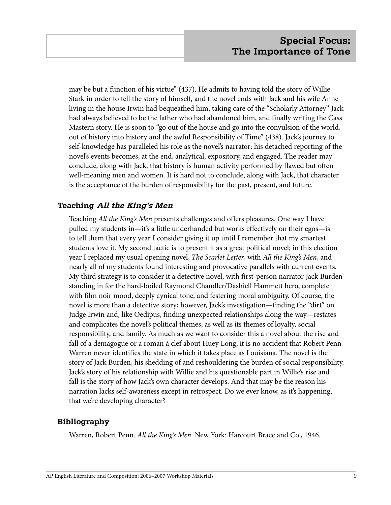may be but a function of his virtue" (437). He admits to having told the story of Willie Stark in order to tell the story of himself, and the novel ends with Jack and his wife Anne living in the house Irwin had bequeathed him, taking care of the "Scholarly Attorney" Jack had always believed to be the father who had abandoned him, and finally writing the Cass Mastern story. He is soon to "go out of the house and go into the convulsion of the world, out of history into history and the awful Responsibility of Time" (438). Jack's journey to self-knowledge has paralleled his role as the novel's narrator: his detached reporting of the novel's events becomes, at the end, analytical, expository, and engaged. The reader may conclude, along with Jack, that history is human activity performed by flawed but often well-meaning men and women. It is hard not to conclude, along with Jack, that character is the acceptance of the burden of responsibility for the past, present, and future.

#### **Teaching All the King's Men**

Teaching *All the King's Men* presents challenges and offers pleasures. One way I have pulled my students in—it's a little underhanded but works effectively on their egos—is to tell them that every year I consider giving it up until I remember that my smartest students love it. My second tactic is to present it as a great political novel; in this election year I replaced my usual opening novel, *The Scarlet Letter*, with *All the King's Men*, and nearly all of my students found interesting and provocative parallels with current events. My third strategy is to consider it a detective novel, with first-person narrator Jack Burden standing in for the hard-boiled Raymond Chandler/Dashiell Hammett hero, complete with film noir mood, deeply cynical tone, and festering moral ambiguity. Of course, the novel is more than a detective story; however, Jack's investigation—finding the "dirt" on Judge Irwin and, like Oedipus, finding unexpected relationships along the way—restates and complicates the novel's political themes, as well as its themes of loyalty, social responsibility, and family. As much as we want to consider this a novel about the rise and fall of a demagogue or a roman à clef about Huey Long, it is no accident that Robert Penn Warren never identifies the state in which it takes place as Louisiana. The novel is the story of Jack Burden, his shedding of and reshouldering the burden of social responsibility. Jack's story of his relationship with Willie and his questionable part in Willie's rise and fall is the story of how Jack's own character develops. And that may be the reason his narration lacks self-awareness except in retrospect. Do we ever know, as it's happening, that we're developing character?

#### **Bibliography**

Warren, Robert Penn. *All the King's Men*. New York: Harcourt Brace and Co., 1946.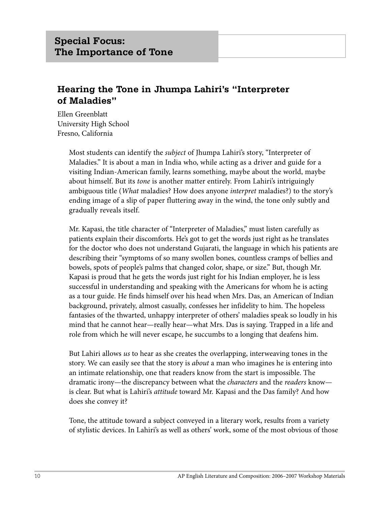# **Hearing the Tone in Jhumpa Lahiri's "Interpreter of Maladies"**

Ellen Greenblatt University High School Fresno, California

> Most students can identify the *subject* of Jhumpa Lahiri's story, "Interpreter of Maladies." It is about a man in India who, while acting as a driver and guide for a visiting Indian-American family, learns something, maybe about the world, maybe about himself. But its *tone* is another matter entirely. From Lahiri's intriguingly ambiguous title (*What* maladies? How does anyone *interpret* maladies?) to the story's ending image of a slip of paper fluttering away in the wind, the tone only subtly and gradually reveals itself.

Mr. Kapasi, the title character of "Interpreter of Maladies," must listen carefully as patients explain their discomforts. He's got to get the words just right as he translates for the doctor who does not understand Gujarati, the language in which his patients are describing their "symptoms of so many swollen bones, countless cramps of bellies and bowels, spots of people's palms that changed color, shape, or size." But, though Mr. Kapasi is proud that he gets the words just right for his Indian employer, he is less successful in understanding and speaking with the Americans for whom he is acting as a tour guide. He finds himself over his head when Mrs. Das, an American of Indian background, privately, almost casually, confesses her infidelity to him. The hopeless fantasies of the thwarted, unhappy interpreter of others' maladies speak so loudly in his mind that he cannot hear—really hear—what Mrs. Das is saying. Trapped in a life and role from which he will never escape, he succumbs to a longing that deafens him.

But Lahiri allows *us* to hear as she creates the overlapping, interweaving tones in the story. We can easily see that the story is *about* a man who imagines he is entering into an intimate relationship, one that readers know from the start is impossible. The dramatic irony—the discrepancy between what the *characters* and the *readers* know is clear. But what is Lahiri's *attitude* toward Mr. Kapasi and the Das family? And how does she convey it?

Tone, the attitude toward a subject conveyed in a literary work, results from a variety of stylistic devices. In Lahiri's as well as others' work, some of the most obvious of those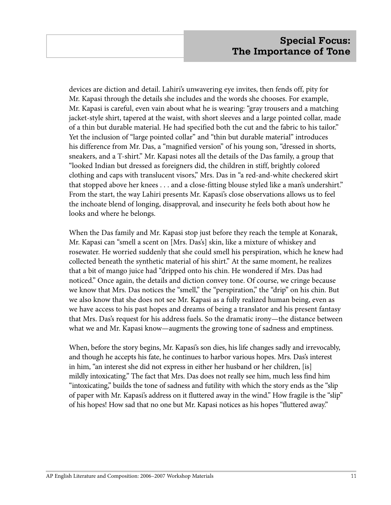devices are diction and detail. Lahiri's unwavering eye invites, then fends off, pity for Mr. Kapasi through the details she includes and the words she chooses. For example, Mr. Kapasi is careful, even vain about what he is wearing: "gray trousers and a matching jacket-style shirt, tapered at the waist, with short sleeves and a large pointed collar, made of a thin but durable material. He had specified both the cut and the fabric to his tailor." Yet the inclusion of "large pointed collar" and "thin but durable material" introduces his difference from Mr. Das, a "magnified version" of his young son, "dressed in shorts, sneakers, and a T-shirt." Mr. Kapasi notes all the details of the Das family, a group that "looked Indian but dressed as foreigners did, the children in stiff, brightly colored clothing and caps with translucent visors," Mrs. Das in "a red-and-white checkered skirt that stopped above her knees . . . and a close-fitting blouse styled like a man's undershirt." From the start, the way Lahiri presents Mr. Kapasi's close observations allows us to feel the inchoate blend of longing, disapproval, and insecurity he feels both about how he looks and where he belongs.

When the Das family and Mr. Kapasi stop just before they reach the temple at Konarak, Mr. Kapasi can "smell a scent on [Mrs. Das's] skin, like a mixture of whiskey and rosewater. He worried suddenly that she could smell his perspiration, which he knew had collected beneath the synthetic material of his shirt." At the same moment, he realizes that a bit of mango juice had "dripped onto his chin. He wondered if Mrs. Das had noticed." Once again, the details and diction convey tone. Of course, we cringe because we know that Mrs. Das notices the "smell," the "perspiration," the "drip" on his chin. But we also know that she does not see Mr. Kapasi as a fully realized human being, even as we have access to his past hopes and dreams of being a translator and his present fantasy that Mrs. Das's request for his address fuels. So the dramatic irony—the distance between what we and Mr. Kapasi know—augments the growing tone of sadness and emptiness.

When, before the story begins, Mr. Kapasi's son dies, his life changes sadly and irrevocably, and though he accepts his fate, he continues to harbor various hopes. Mrs. Das's interest in him, "an interest she did not express in either her husband or her children, [is] mildly intoxicating." The fact that Mrs. Das does not really see him, much less find him "intoxicating," builds the tone of sadness and futility with which the story ends as the "slip of paper with Mr. Kapasi's address on it fluttered away in the wind." How fragile is the "slip" of his hopes! How sad that no one but Mr. Kapasi notices as his hopes "fluttered away."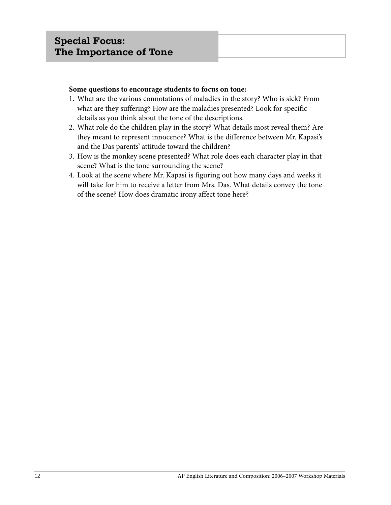#### **Some questions to encourage students to focus on tone:**

- 1. What are the various connotations of maladies in the story? Who is sick? From what are they suffering? How are the maladies presented? Look for specific details as you think about the tone of the descriptions.
- 2. What role do the children play in the story? What details most reveal them? Are they meant to represent innocence? What is the difference between Mr. Kapasi's and the Das parents' attitude toward the children?
- 3. How is the monkey scene presented? What role does each character play in that scene? What is the tone surrounding the scene?
- 4. Look at the scene where Mr. Kapasi is figuring out how many days and weeks it will take for him to receive a letter from Mrs. Das. What details convey the tone of the scene? How does dramatic irony affect tone here?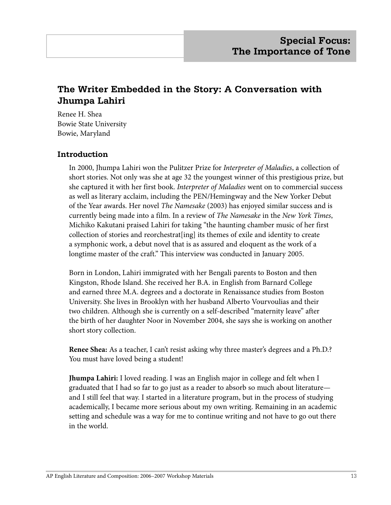# **The Writer Embedded in the Story: A Conversation with Jhumpa Lahiri**

Renee H. Shea Bowie State University Bowie, Maryland

#### **Introduction**

In 2000, Jhumpa Lahiri won the Pulitzer Prize for *Interpreter of Maladies*, a collection of short stories. Not only was she at age 32 the youngest winner of this prestigious prize, but she captured it with her first book. *Interpreter of Maladies* went on to commercial success as well as literary acclaim, including the PEN/Hemingway and the New Yorker Debut of the Year awards. Her novel *The Namesake* (2003) has enjoyed similar success and is currently being made into a film. In a review of *The Namesake* in the *New York Times*, Michiko Kakutani praised Lahiri for taking "the haunting chamber music of her first collection of stories and reorchestrat[ing] its themes of exile and identity to create a symphonic work, a debut novel that is as assured and eloquent as the work of a longtime master of the craft." This interview was conducted in January 2005.

Born in London, Lahiri immigrated with her Bengali parents to Boston and then Kingston, Rhode Island. She received her B.A. in English from Barnard College and earned three M.A. degrees and a doctorate in Renaissance studies from Boston University. She lives in Brooklyn with her husband Alberto Vourvoulias and their two children. Although she is currently on a self-described "maternity leave" after the birth of her daughter Noor in November 2004, she says she is working on another short story collection.

**Renee Shea:** As a teacher, I can't resist asking why three master's degrees and a Ph.D.? You must have loved being a student!

**Jhumpa Lahiri:** I loved reading. I was an English major in college and felt when I graduated that I had so far to go just as a reader to absorb so much about literature and I still feel that way. I started in a literature program, but in the process of studying academically, I became more serious about my own writing. Remaining in an academic setting and schedule was a way for me to continue writing and not have to go out there in the world.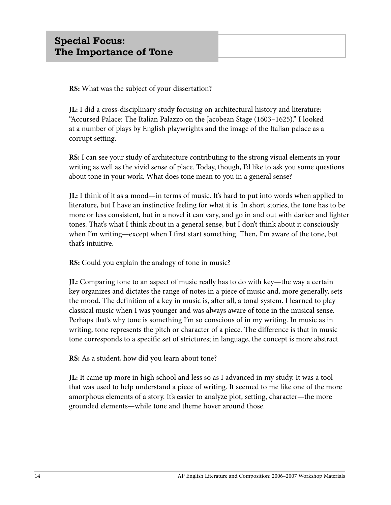**RS:** What was the subject of your dissertation?

**JL:** I did a cross-disciplinary study focusing on architectural history and literature: "Accursed Palace: The Italian Palazzo on the Jacobean Stage (1603–1625)." I looked at a number of plays by English playwrights and the image of the Italian palace as a corrupt setting.

**RS:** I can see your study of architecture contributing to the strong visual elements in your writing as well as the vivid sense of place. Today, though, I'd like to ask you some questions about tone in your work. What does tone mean to you in a general sense?

**JL:** I think of it as a mood—in terms of music. It's hard to put into words when applied to literature, but I have an instinctive feeling for what it is. In short stories, the tone has to be more or less consistent, but in a novel it can vary, and go in and out with darker and lighter tones. That's what I think about in a general sense, but I don't think about it consciously when I'm writing—except when I first start something. Then, I'm aware of the tone, but that's intuitive.

**RS:** Could you explain the analogy of tone in music?

**JL:** Comparing tone to an aspect of music really has to do with key—the way a certain key organizes and dictates the range of notes in a piece of music and, more generally, sets the mood. The definition of a key in music is, after all, a tonal system. I learned to play classical music when I was younger and was always aware of tone in the musical sense. Perhaps that's why tone is something I'm so conscious of in my writing. In music as in writing, tone represents the pitch or character of a piece. The difference is that in music tone corresponds to a specific set of strictures; in language, the concept is more abstract.

**RS:** As a student, how did you learn about tone?

**JL:** It came up more in high school and less so as I advanced in my study. It was a tool that was used to help understand a piece of writing. It seemed to me like one of the more amorphous elements of a story. It's easier to analyze plot, setting, character—the more grounded elements—while tone and theme hover around those.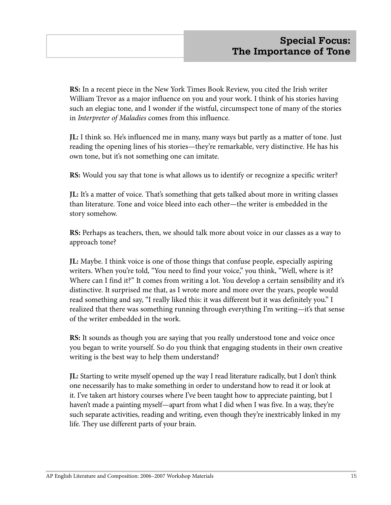**RS:** In a recent piece in the New York Times Book Review, you cited the Irish writer William Trevor as a major influence on you and your work. I think of his stories having such an elegiac tone, and I wonder if the wistful, circumspect tone of many of the stories in *Interpreter of Maladies* comes from this influence.

**JL:** I think so. He's influenced me in many, many ways but partly as a matter of tone. Just reading the opening lines of his stories—they're remarkable, very distinctive. He has his own tone, but it's not something one can imitate.

**RS:** Would you say that tone is what allows us to identify or recognize a specific writer?

**JL:** It's a matter of voice. That's something that gets talked about more in writing classes than literature. Tone and voice bleed into each other—the writer is embedded in the story somehow.

**RS:** Perhaps as teachers, then, we should talk more about voice in our classes as a way to approach tone?

**JL:** Maybe. I think voice is one of those things that confuse people, especially aspiring writers. When you're told, "You need to find your voice," you think, "Well, where is it? Where can I find it?" It comes from writing a lot. You develop a certain sensibility and it's distinctive. It surprised me that, as I wrote more and more over the years, people would read something and say, "I really liked this: it was different but it was definitely you." I realized that there was something running through everything I'm writing—it's that sense of the writer embedded in the work.

**RS:** It sounds as though you are saying that you really understood tone and voice once you began to write yourself. So do you think that engaging students in their own creative writing is the best way to help them understand?

**JL:** Starting to write myself opened up the way I read literature radically, but I don't think one necessarily has to make something in order to understand how to read it or look at it. I've taken art history courses where I've been taught how to appreciate painting, but I haven't made a painting myself—apart from what I did when I was five. In a way, they're such separate activities, reading and writing, even though they're inextricably linked in my life. They use different parts of your brain.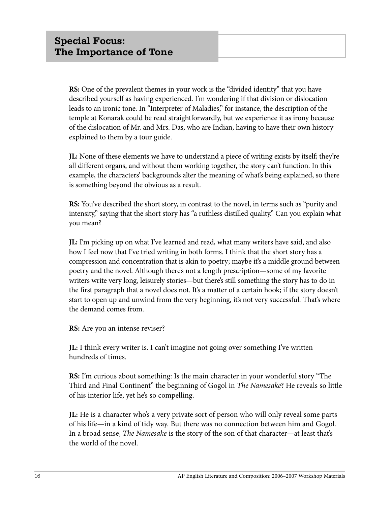**RS:** One of the prevalent themes in your work is the "divided identity" that you have described yourself as having experienced. I'm wondering if that division or dislocation leads to an ironic tone. In "Interpreter of Maladies," for instance, the description of the temple at Konarak could be read straightforwardly, but we experience it as irony because of the dislocation of Mr. and Mrs. Das, who are Indian, having to have their own history explained to them by a tour guide.

**JL:** None of these elements we have to understand a piece of writing exists by itself; they're all different organs, and without them working together, the story can't function. In this example, the characters' backgrounds alter the meaning of what's being explained, so there is something beyond the obvious as a result.

**RS:** You've described the short story, in contrast to the novel, in terms such as "purity and intensity," saying that the short story has "a ruthless distilled quality." Can you explain what you mean?

**JL:** I'm picking up on what I've learned and read, what many writers have said, and also how I feel now that I've tried writing in both forms. I think that the short story has a compression and concentration that is akin to poetry; maybe it's a middle ground between poetry and the novel. Although there's not a length prescription—some of my favorite writers write very long, leisurely stories—but there's still something the story has to do in the first paragraph that a novel does not. It's a matter of a certain hook; if the story doesn't start to open up and unwind from the very beginning, it's not very successful. That's where the demand comes from.

**RS:** Are you an intense reviser?

**JL:** I think every writer is. I can't imagine not going over something I've written hundreds of times.

**RS:** I'm curious about something: Is the main character in your wonderful story "The Third and Final Continent" the beginning of Gogol in *The Namesake*? He reveals so little of his interior life, yet he's so compelling.

**JL:** He is a character who's a very private sort of person who will only reveal some parts of his life—in a kind of tidy way. But there was no connection between him and Gogol. In a broad sense, *The Namesake* is the story of the son of that character—at least that's the world of the novel.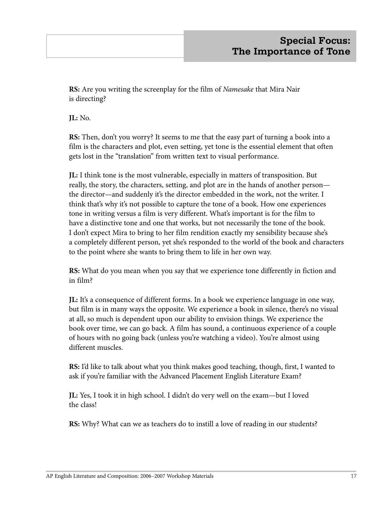**RS:** Are you writing the screenplay for the film of *Namesake* that Mira Nair is directing?

**JL:** No.

**RS:** Then, don't you worry? It seems to me that the easy part of turning a book into a film is the characters and plot, even setting, yet tone is the essential element that often gets lost in the "translation" from written text to visual performance.

**JL:** I think tone is the most vulnerable, especially in matters of transposition. But really, the story, the characters, setting, and plot are in the hands of another person the director—and suddenly it's the director embedded in the work, not the writer. I think that's why it's not possible to capture the tone of a book. How one experiences tone in writing versus a film is very different. What's important is for the film to have a distinctive tone and one that works, but not necessarily the tone of the book. I don't expect Mira to bring to her film rendition exactly my sensibility because she's a completely different person, yet she's responded to the world of the book and characters to the point where she wants to bring them to life in her own way.

**RS:** What do you mean when you say that we experience tone differently in fiction and in film?

**JL:** It's a consequence of different forms. In a book we experience language in one way, but film is in many ways the opposite. We experience a book in silence, there's no visual at all, so much is dependent upon our ability to envision things. We experience the book over time, we can go back. A film has sound, a continuous experience of a couple of hours with no going back (unless you're watching a video). You're almost using different muscles.

**RS:** I'd like to talk about what you think makes good teaching, though, first, I wanted to ask if you're familiar with the Advanced Placement English Literature Exam?

**JL:** Yes, I took it in high school. I didn't do very well on the exam—but I loved the class!

**RS:** Why? What can we as teachers do to instill a love of reading in our students?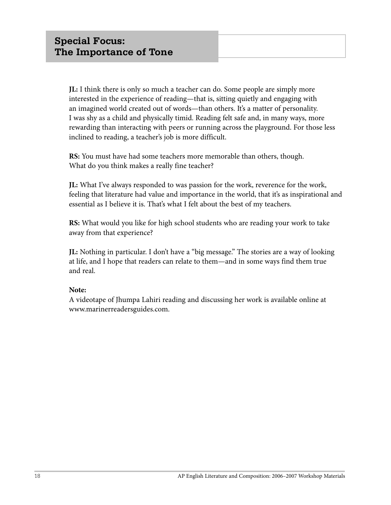**JL:** I think there is only so much a teacher can do. Some people are simply more interested in the experience of reading—that is, sitting quietly and engaging with an imagined world created out of words—than others. It's a matter of personality. I was shy as a child and physically timid. Reading felt safe and, in many ways, more rewarding than interacting with peers or running across the playground. For those less inclined to reading, a teacher's job is more difficult.

**RS:** You must have had some teachers more memorable than others, though. What do you think makes a really fine teacher?

**JL:** What I've always responded to was passion for the work, reverence for the work, feeling that literature had value and importance in the world, that it's as inspirational and essential as I believe it is. That's what I felt about the best of my teachers.

**RS:** What would you like for high school students who are reading your work to take away from that experience?

**JL:** Nothing in particular. I don't have a "big message." The stories are a way of looking at life, and I hope that readers can relate to them—and in some ways find them true and real.

#### **Note:**

A videotape of Jhumpa Lahiri reading and discussing her work is available online at www.marinerreadersguides.com.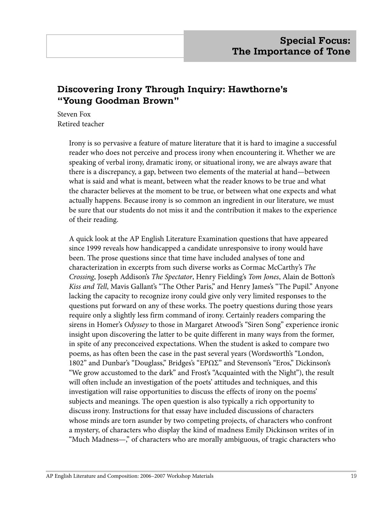# **Discovering Irony Through Inquiry: Hawthorne's "Young Goodman Brown"**

Steven Fox Retired teacher

> Irony is so pervasive a feature of mature literature that it is hard to imagine a successful reader who does not perceive and process irony when encountering it. Whether we are speaking of verbal irony, dramatic irony, or situational irony, we are always aware that there is a discrepancy, a gap, between two elements of the material at hand—between what is said and what is meant, between what the reader knows to be true and what the character believes at the moment to be true, or between what one expects and what actually happens. Because irony is so common an ingredient in our literature, we must be sure that our students do not miss it and the contribution it makes to the experience of their reading.

> A quick look at the AP English Literature Examination questions that have appeared since 1999 reveals how handicapped a candidate unresponsive to irony would have been. The prose questions since that time have included analyses of tone and characterization in excerpts from such diverse works as Cormac McCarthy's *The Crossing*, Joseph Addison's *The Spectator*, Henry Fielding's *Tom Jones*, Alain de Botton's *Kiss and Tell*, Mavis Gallant's "The Other Paris," and Henry James's "The Pupil." Anyone lacking the capacity to recognize irony could give only very limited responses to the questions put forward on any of these works. The poetry questions during those years require only a slightly less firm command of irony. Certainly readers comparing the sirens in Homer's *Odyssey* to those in Margaret Atwood's "Siren Song" experience ironic insight upon discovering the latter to be quite different in many ways from the former, in spite of any preconceived expectations. When the student is asked to compare two poems, as has often been the case in the past several years (Wordsworth's "London, 1802" and Dunbar's "Douglass," Bridges's "ΕΡΩΣ" and Stevenson's "Eros," Dickinson's "We grow accustomed to the dark" and Frost's "Acquainted with the Night"), the result will often include an investigation of the poets' attitudes and techniques, and this investigation will raise opportunities to discuss the effects of irony on the poems' subjects and meanings. The open question is also typically a rich opportunity to discuss irony. Instructions for that essay have included discussions of characters whose minds are torn asunder by two competing projects, of characters who confront a mystery, of characters who display the kind of madness Emily Dickinson writes of in "Much Madness—," of characters who are morally ambiguous, of tragic characters who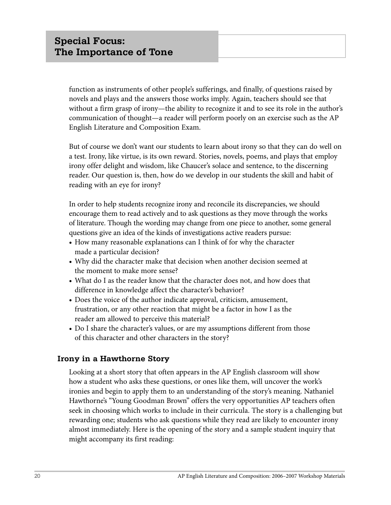function as instruments of other people's sufferings, and finally, of questions raised by novels and plays and the answers those works imply. Again, teachers should see that without a firm grasp of irony—the ability to recognize it and to see its role in the author's communication of thought—a reader will perform poorly on an exercise such as the AP English Literature and Composition Exam.

But of course we don't want our students to learn about irony so that they can do well on a test. Irony, like virtue, is its own reward. Stories, novels, poems, and plays that employ irony offer delight and wisdom, like Chaucer's solace and sentence, to the discerning reader. Our question is, then, how do we develop in our students the skill and habit of reading with an eye for irony?

In order to help students recognize irony and reconcile its discrepancies, we should encourage them to read actively and to ask questions as they move through the works of literature. Though the wording may change from one piece to another, some general questions give an idea of the kinds of investigations active readers pursue:

- **•** How many reasonable explanations can I think of for why the character made a particular decision?
- **•** Why did the character make that decision when another decision seemed at the moment to make more sense?
- **•** What do I as the reader know that the character does not, and how does that difference in knowledge affect the character's behavior?
- **•** Does the voice of the author indicate approval, criticism, amusement, frustration, or any other reaction that might be a factor in how I as the reader am allowed to perceive this material?
- **•** Do I share the character's values, or are my assumptions different from those of this character and other characters in the story?

# **Irony in a Hawthorne Story**

Looking at a short story that often appears in the AP English classroom will show how a student who asks these questions, or ones like them, will uncover the work's ironies and begin to apply them to an understanding of the story's meaning. Nathaniel Hawthorne's "Young Goodman Brown" offers the very opportunities AP teachers often seek in choosing which works to include in their curricula. The story is a challenging but rewarding one; students who ask questions while they read are likely to encounter irony almost immediately. Here is the opening of the story and a sample student inquiry that might accompany its first reading: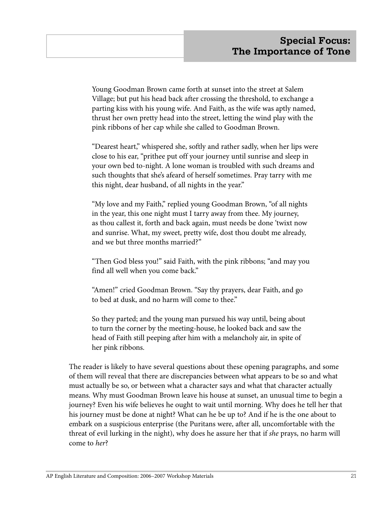Young Goodman Brown came forth at sunset into the street at Salem Village; but put his head back after crossing the threshold, to exchange a parting kiss with his young wife. And Faith, as the wife was aptly named, thrust her own pretty head into the street, letting the wind play with the pink ribbons of her cap while she called to Goodman Brown.

"Dearest heart," whispered she, softly and rather sadly, when her lips were close to his ear, "prithee put off your journey until sunrise and sleep in your own bed to-night. A lone woman is troubled with such dreams and such thoughts that she's afeard of herself sometimes. Pray tarry with me this night, dear husband, of all nights in the year."

"My love and my Faith," replied young Goodman Brown, "of all nights in the year, this one night must I tarry away from thee. My journey, as thou callest it, forth and back again, must needs be done 'twixt now and sunrise. What, my sweet, pretty wife, dost thou doubt me already, and we but three months married?"

"Then God bless you!" said Faith, with the pink ribbons; "and may you find all well when you come back."

"Amen!" cried Goodman Brown. "Say thy prayers, dear Faith, and go to bed at dusk, and no harm will come to thee."

So they parted; and the young man pursued his way until, being about to turn the corner by the meeting-house, he looked back and saw the head of Faith still peeping after him with a melancholy air, in spite of her pink ribbons.

The reader is likely to have several questions about these opening paragraphs, and some of them will reveal that there are discrepancies between what appears to be so and what must actually be so, or between what a character says and what that character actually means. Why must Goodman Brown leave his house at sunset, an unusual time to begin a journey? Even his wife believes he ought to wait until morning. Why does he tell her that his journey must be done at night? What can he be up to? And if he is the one about to embark on a suspicious enterprise (the Puritans were, after all, uncomfortable with the threat of evil lurking in the night), why does he assure her that if *she* prays, no harm will come to *her*?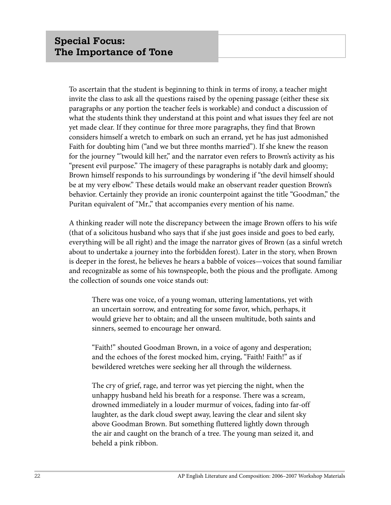To ascertain that the student is beginning to think in terms of irony, a teacher might invite the class to ask all the questions raised by the opening passage (either these six paragraphs or any portion the teacher feels is workable) and conduct a discussion of what the students think they understand at this point and what issues they feel are not yet made clear. If they continue for three more paragraphs, they find that Brown considers himself a wretch to embark on such an errand, yet he has just admonished Faith for doubting him ("and we but three months married"). If she knew the reason for the journey "'twould kill her," and the narrator even refers to Brown's activity as his "present evil purpose." The imagery of these paragraphs is notably dark and gloomy; Brown himself responds to his surroundings by wondering if "the devil himself should be at my very elbow." These details would make an observant reader question Brown's behavior. Certainly they provide an ironic counterpoint against the title "Goodman," the Puritan equivalent of "Mr.," that accompanies every mention of his name.

A thinking reader will note the discrepancy between the image Brown offers to his wife (that of a solicitous husband who says that if she just goes inside and goes to bed early, everything will be all right) and the image the narrator gives of Brown (as a sinful wretch about to undertake a journey into the forbidden forest). Later in the story, when Brown is deeper in the forest, he believes he hears a babble of voices—voices that sound familiar and recognizable as some of his townspeople, both the pious and the profligate. Among the collection of sounds one voice stands out:

There was one voice, of a young woman, uttering lamentations, yet with an uncertain sorrow, and entreating for some favor, which, perhaps, it would grieve her to obtain; and all the unseen multitude, both saints and sinners, seemed to encourage her onward.

"Faith!" shouted Goodman Brown, in a voice of agony and desperation; and the echoes of the forest mocked him, crying, "Faith! Faith!" as if bewildered wretches were seeking her all through the wilderness.

The cry of grief, rage, and terror was yet piercing the night, when the unhappy husband held his breath for a response. There was a scream, drowned immediately in a louder murmur of voices, fading into far-off laughter, as the dark cloud swept away, leaving the clear and silent sky above Goodman Brown. But something fluttered lightly down through the air and caught on the branch of a tree. The young man seized it, and beheld a pink ribbon.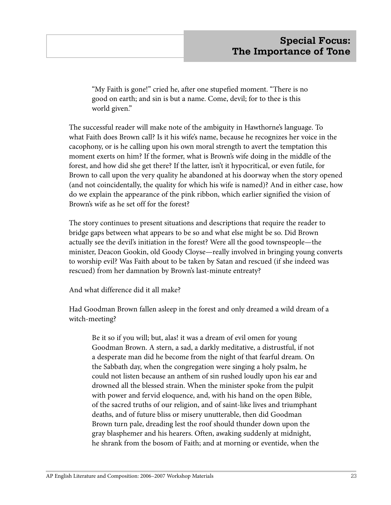"My Faith is gone!" cried he, after one stupefied moment. "There is no good on earth; and sin is but a name. Come, devil; for to thee is this world given."

The successful reader will make note of the ambiguity in Hawthorne's language. To what Faith does Brown call? Is it his wife's name, because he recognizes her voice in the cacophony, or is he calling upon his own moral strength to avert the temptation this moment exerts on him? If the former, what is Brown's wife doing in the middle of the forest, and how did she get there? If the latter, isn't it hypocritical, or even futile, for Brown to call upon the very quality he abandoned at his doorway when the story opened (and not coincidentally, the quality for which his wife is named)? And in either case, how do we explain the appearance of the pink ribbon, which earlier signified the vision of Brown's wife as he set off for the forest?

The story continues to present situations and descriptions that require the reader to bridge gaps between what appears to be so and what else might be so. Did Brown actually see the devil's initiation in the forest? Were all the good townspeople—the minister, Deacon Gookin, old Goody Cloyse—really involved in bringing young converts to worship evil? Was Faith about to be taken by Satan and rescued (if she indeed was rescued) from her damnation by Brown's last-minute entreaty?

And what difference did it all make?

Had Goodman Brown fallen asleep in the forest and only dreamed a wild dream of a witch-meeting?

Be it so if you will; but, alas! it was a dream of evil omen for young Goodman Brown. A stern, a sad, a darkly meditative, a distrustful, if not a desperate man did he become from the night of that fearful dream. On the Sabbath day, when the congregation were singing a holy psalm, he could not listen because an anthem of sin rushed loudly upon his ear and drowned all the blessed strain. When the minister spoke from the pulpit with power and fervid eloquence, and, with his hand on the open Bible, of the sacred truths of our religion, and of saint-like lives and triumphant deaths, and of future bliss or misery unutterable, then did Goodman Brown turn pale, dreading lest the roof should thunder down upon the gray blasphemer and his hearers. Often, awaking suddenly at midnight, he shrank from the bosom of Faith; and at morning or eventide, when the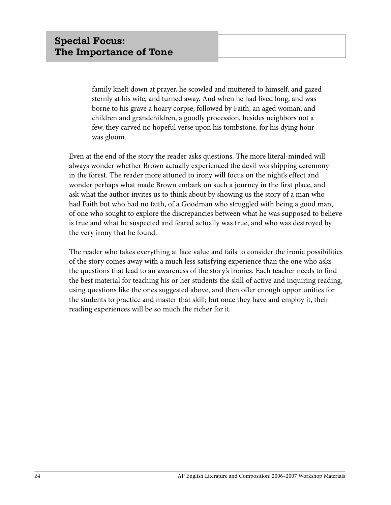family knelt down at prayer, he scowled and muttered to himself, and gazed sternly at his wife, and turned away. And when he had lived long, and was borne to his grave a hoary corpse, followed by Faith, an aged woman, and children and grandchildren, a goodly procession, besides neighbors not a few, they carved no hopeful verse upon his tombstone, for his dying hour was gloom.

Even at the end of the story the reader asks questions. The more literal-minded will always wonder whether Brown actually experienced the devil worshipping ceremony in the forest. The reader more attuned to irony will focus on the night's effect and wonder perhaps what made Brown embark on such a journey in the first place, and ask what the author invites us to think about by showing us the story of a man who had Faith but who had no faith, of a Goodman who struggled with being a good man, of one who sought to explore the discrepancies between what he was supposed to believe is true and what he suspected and feared actually was true, and who was destroyed by the very irony that he found.

The reader who takes everything at face value and fails to consider the ironic possibilities of the story comes away with a much less satisfying experience than the one who asks the questions that lead to an awareness of the story's ironies. Each teacher needs to find the best material for teaching his or her students the skill of active and inquiring reading, using questions like the ones suggested above, and then offer enough opportunities for the students to practice and master that skill; but once they have and employ it, their reading experiences will be so much the richer for it.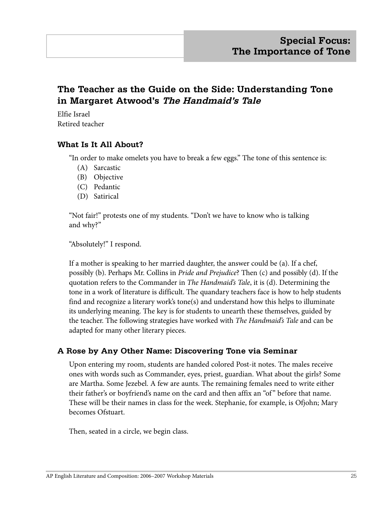# **The Teacher as the Guide on the Side: Understanding Tone in Margaret Atwood's The Handmaid's Tale**

Elfie Israel Retired teacher

#### **What Is It All About?**

"In order to make omelets you have to break a few eggs." The tone of this sentence is:

- (A) Sarcastic
- (B) Objective
- (C) Pedantic
- (D) Satirical

"Not fair!" protests one of my students. "Don't we have to know who is talking and why?"

"Absolutely!" I respond.

If a mother is speaking to her married daughter, the answer could be (a). If a chef, possibly (b). Perhaps Mr. Collins in *Pride and Prejudice*? Then (c) and possibly (d). If the quotation refers to the Commander in *The Handmaid's Tale*, it is (d). Determining the tone in a work of literature is difficult. The quandary teachers face is how to help students find and recognize a literary work's tone(s) and understand how this helps to illuminate its underlying meaning. The key is for students to unearth these themselves, guided by the teacher. The following strategies have worked with *The Handmaid's Tale* and can be adapted for many other literary pieces.

#### **A Rose by Any Other Name: Discovering Tone via Seminar**

Upon entering my room, students are handed colored Post-it notes. The males receive ones with words such as Commander, eyes, priest, guardian. What about the girls? Some are Martha. Some Jezebel. A few are aunts. The remaining females need to write either their father's or boyfriend's name on the card and then affix an "of " before that name. These will be their names in class for the week. Stephanie, for example, is Ofjohn; Mary becomes Ofstuart.

Then, seated in a circle, we begin class.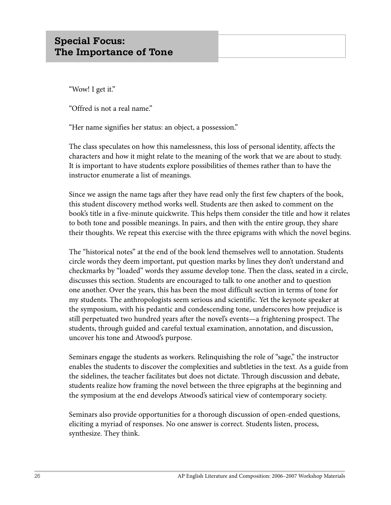"Wow! I get it."

"Offred is not a real name."

"Her name signifies her status: an object, a possession."

The class speculates on how this namelessness, this loss of personal identity, affects the characters and how it might relate to the meaning of the work that we are about to study. It is important to have students explore possibilities of themes rather than to have the instructor enumerate a list of meanings.

Since we assign the name tags after they have read only the first few chapters of the book, this student discovery method works well. Students are then asked to comment on the book's title in a five-minute quickwrite. This helps them consider the title and how it relates to both tone and possible meanings. In pairs, and then with the entire group, they share their thoughts. We repeat this exercise with the three epigrams with which the novel begins.

The "historical notes" at the end of the book lend themselves well to annotation. Students circle words they deem important, put question marks by lines they don't understand and checkmarks by "loaded" words they assume develop tone. Then the class, seated in a circle, discusses this section. Students are encouraged to talk to one another and to question one another. Over the years, this has been the most difficult section in terms of tone for my students. The anthropologists seem serious and scientific. Yet the keynote speaker at the symposium, with his pedantic and condescending tone, underscores how prejudice is still perpetuated two hundred years after the novel's events—a frightening prospect. The students, through guided and careful textual examination, annotation, and discussion, uncover his tone and Atwood's purpose.

Seminars engage the students as workers. Relinquishing the role of "sage," the instructor enables the students to discover the complexities and subtleties in the text. As a guide from the sidelines, the teacher facilitates but does not dictate. Through discussion and debate, students realize how framing the novel between the three epigraphs at the beginning and the symposium at the end develops Atwood's satirical view of contemporary society.

Seminars also provide opportunities for a thorough discussion of open-ended questions, eliciting a myriad of responses. No one answer is correct. Students listen, process, synthesize. They think.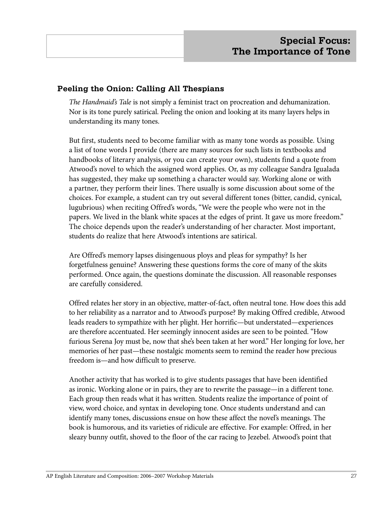#### **Peeling the Onion: Calling All Thespians**

*The Handmaid's Tale* is not simply a feminist tract on procreation and dehumanization. Nor is its tone purely satirical. Peeling the onion and looking at its many layers helps in understanding its many tones.

But first, students need to become familiar with as many tone words as possible. Using a list of tone words I provide (there are many sources for such lists in textbooks and handbooks of literary analysis, or you can create your own), students find a quote from Atwood's novel to which the assigned word applies. Or, as my colleague Sandra Igualada has suggested, they make up something a character would say. Working alone or with a partner, they perform their lines. There usually is some discussion about some of the choices. For example, a student can try out several different tones (bitter, candid, cynical, lugubrious) when reciting Offred's words, "We were the people who were not in the papers. We lived in the blank white spaces at the edges of print. It gave us more freedom." The choice depends upon the reader's understanding of her character. Most important, students do realize that here Atwood's intentions are satirical.

Are Offred's memory lapses disingenuous ploys and pleas for sympathy? Is her forgetfulness genuine? Answering these questions forms the core of many of the skits performed. Once again, the questions dominate the discussion. All reasonable responses are carefully considered.

Offred relates her story in an objective, matter-of-fact, often neutral tone. How does this add to her reliability as a narrator and to Atwood's purpose? By making Offred credible, Atwood leads readers to sympathize with her plight. Her horrific—but understated—experiences are therefore accentuated. Her seemingly innocent asides are seen to be pointed. "How furious Serena Joy must be, now that she's been taken at her word." Her longing for love, her memories of her past—these nostalgic moments seem to remind the reader how precious freedom is—and how difficult to preserve.

Another activity that has worked is to give students passages that have been identified as ironic. Working alone or in pairs, they are to rewrite the passage—in a different tone. Each group then reads what it has written. Students realize the importance of point of view, word choice, and syntax in developing tone. Once students understand and can identify many tones, discussions ensue on how these affect the novel's meanings. The book is humorous, and its varieties of ridicule are effective. For example: Offred, in her sleazy bunny outfit, shoved to the floor of the car racing to Jezebel. Atwood's point that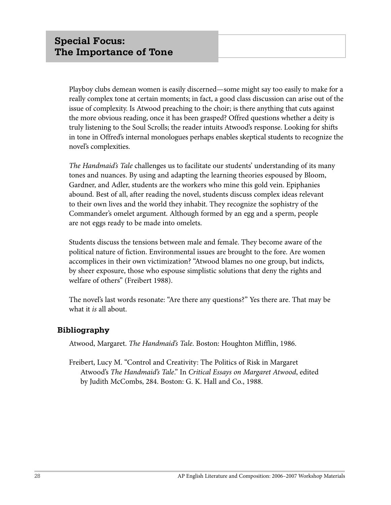Playboy clubs demean women is easily discerned—some might say too easily to make for a really complex tone at certain moments; in fact, a good class discussion can arise out of the issue of complexity. Is Atwood preaching to the choir; is there anything that cuts against the more obvious reading, once it has been grasped? Offred questions whether a deity is truly listening to the Soul Scrolls; the reader intuits Atwood's response. Looking for shifts in tone in Offred's internal monologues perhaps enables skeptical students to recognize the novel's complexities.

*The Handmaid's Tale* challenges us to facilitate our students' understanding of its many tones and nuances. By using and adapting the learning theories espoused by Bloom, Gardner, and Adler, students are the workers who mine this gold vein. Epiphanies abound. Best of all, after reading the novel, students discuss complex ideas relevant to their own lives and the world they inhabit. They recognize the sophistry of the Commander's omelet argument. Although formed by an egg and a sperm, people are not eggs ready to be made into omelets.

Students discuss the tensions between male and female. They become aware of the political nature of fiction. Environmental issues are brought to the fore. Are women accomplices in their own victimization? "Atwood blames no one group, but indicts, by sheer exposure, those who espouse simplistic solutions that deny the rights and welfare of others" (Freibert 1988).

The novel's last words resonate: "Are there any questions?" Yes there are. That may be what it *is* all about.

#### **Bibliography**

Atwood, Margaret. *The Handmaid's Tale*. Boston: Houghton Mifflin, 1986.

Freibert, Lucy M. "Control and Creativity: The Politics of Risk in Margaret Atwood's *The Handmaid's Tale*." In *Critical Essays on Margaret Atwood*, edited by Judith McCombs, 284. Boston: G. K. Hall and Co., 1988.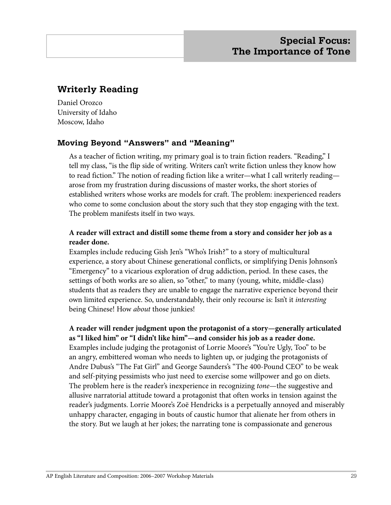# **Writerly Reading**

Daniel Orozco University of Idaho Moscow, Idaho

#### **Moving Beyond "Answers" and "Meaning"**

As a teacher of fiction writing, my primary goal is to train fiction readers. "Reading," I tell my class, "is the flip side of writing. Writers can't write fiction unless they know how to read fiction." The notion of reading fiction like a writer—what I call writerly reading arose from my frustration during discussions of master works, the short stories of established writers whose works are models for craft. The problem: inexperienced readers who come to some conclusion about the story such that they stop engaging with the text. The problem manifests itself in two ways.

#### **A reader will extract and distill some theme from a story and consider her job as a reader done.**

Examples include reducing Gish Jen's "Who's Irish?" to a story of multicultural experience, a story about Chinese generational conflicts, or simplifying Denis Johnson's "Emergency" to a vicarious exploration of drug addiction, period. In these cases, the settings of both works are so alien, so "other," to many (young, white, middle-class) students that as readers they are unable to engage the narrative experience beyond their own limited experience. So, understandably, their only recourse is: Isn't it *interesting* being Chinese! How *about* those junkies!

**A reader will render judgment upon the protagonist of a story—generally articulated as "I liked him" or "I didn't like him"—and consider his job as a reader done.**  Examples include judging the protagonist of Lorrie Moore's "You're Ugly, Too" to be an angry, embittered woman who needs to lighten up, or judging the protagonists of Andre Dubus's "The Fat Girl" and George Saunders's "The 400-Pound CEO" to be weak and self-pitying pessimists who just need to exercise some willpower and go on diets. The problem here is the reader's inexperience in recognizing *tone*—the suggestive and allusive narratorial attitude toward a protagonist that often works in tension against the reader's judgments. Lorrie Moore's Zoë Hendricks is a perpetually annoyed and miserably unhappy character, engaging in bouts of caustic humor that alienate her from others in the story. But we laugh at her jokes; the narrating tone is compassionate and generous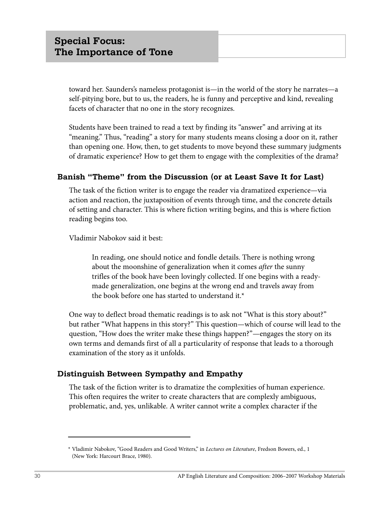toward her. Saunders's nameless protagonist is—in the world of the story he narrates—a self-pitying bore, but to us, the readers, he is funny and perceptive and kind, revealing facets of character that no one in the story recognizes.

Students have been trained to read a text by finding its "answer" and arriving at its "meaning." Thus, "reading" a story for many students means closing a door on it, rather than opening one. How, then, to get students to move beyond these summary judgments of dramatic experience? How to get them to engage with the complexities of the drama?

#### **Banish "Theme" from the Discussion (or at Least Save It for Last)**

The task of the fiction writer is to engage the reader via dramatized experience—via action and reaction, the juxtaposition of events through time, and the concrete details of setting and character. This is where fiction writing begins, and this is where fiction reading begins too.

Vladimir Nabokov said it best:

In reading, one should notice and fondle details. There is nothing wrong about the moonshine of generalization when it comes *after* the sunny trifles of the book have been lovingly collected. If one begins with a readymade generalization, one begins at the wrong end and travels away from the book before one has started to understand it.\*

One way to deflect broad thematic readings is to ask not "What is this story about?" but rather "What happens in this story?" This question—which of course will lead to the question, "How does the writer make these things happen?"—engages the story on its own terms and demands first of all a particularity of response that leads to a thorough examination of the story as it unfolds.

#### **Distinguish Between Sympathy and Empathy**

The task of the fiction writer is to dramatize the complexities of human experience. This often requires the writer to create characters that are complexly ambiguous, problematic, and, yes, unlikable. A writer cannot write a complex character if the

<sup>\*</sup> Vladimir Nabokov, "Good Readers and Good Writers," in *Lectures on Literature*, Fredson Bowers, ed., 1 (New York: Harcourt Brace, 1980).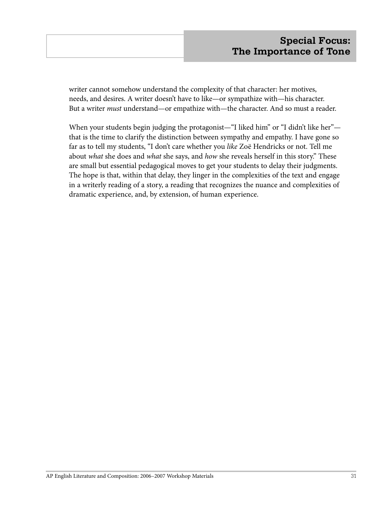writer cannot somehow understand the complexity of that character: her motives, needs, and desires. A writer doesn't have to like—or sympathize with—his character. But a writer *must* understand—or empathize with—the character. And so must a reader.

When your students begin judging the protagonist—"I liked him" or "I didn't like her" that is the time to clarify the distinction between sympathy and empathy. I have gone so far as to tell my students, "I don't care whether you *like* Zoë Hendricks or not. Tell me about *what* she does and *what* she says, and *how* she reveals herself in this story." These are small but essential pedagogical moves to get your students to delay their judgments. The hope is that, within that delay, they linger in the complexities of the text and engage in a writerly reading of a story, a reading that recognizes the nuance and complexities of dramatic experience, and, by extension, of human experience.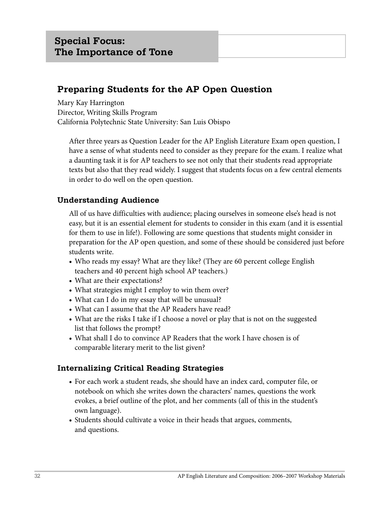# **Preparing Students for the AP Open Question**

Mary Kay Harrington Director, Writing Skills Program California Polytechnic State University: San Luis Obispo

After three years as Question Leader for the AP English Literature Exam open question, I have a sense of what students need to consider as they prepare for the exam. I realize what a daunting task it is for AP teachers to see not only that their students read appropriate texts but also that they read widely. I suggest that students focus on a few central elements in order to do well on the open question.

# **Understanding Audience**

All of us have difficulties with audience; placing ourselves in someone else's head is not easy, but it is an essential element for students to consider in this exam (and it is essential for them to use in life!). Following are some questions that students might consider in preparation for the AP open question, and some of these should be considered just before students write.

- **•** Who reads my essay? What are they like? (They are 60 percent college English teachers and 40 percent high school AP teachers.)
- **•** What are their expectations?
- **•** What strategies might I employ to win them over?
- **•** What can I do in my essay that will be unusual?
- **•** What can I assume that the AP Readers have read?
- **•** What are the risks I take if I choose a novel or play that is not on the suggested list that follows the prompt?
- **•** What shall I do to convince AP Readers that the work I have chosen is of comparable literary merit to the list given?

# **Internalizing Critical Reading Strategies**

- **•** For each work a student reads, she should have an index card, computer file, or notebook on which she writes down the characters' names, questions the work evokes, a brief outline of the plot, and her comments (all of this in the student's own language).
- **•** Students should cultivate a voice in their heads that argues, comments, and questions.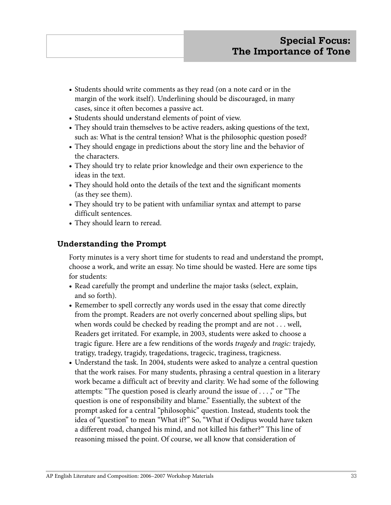- **•** Students should write comments as they read (on a note card or in the margin of the work itself). Underlining should be discouraged, in many cases, since it often becomes a passive act.
- **•** Students should understand elements of point of view.
- **•** They should train themselves to be active readers, asking questions of the text, such as: What is the central tension? What is the philosophic question posed?
- **•** They should engage in predictions about the story line and the behavior of the characters.
- **•** They should try to relate prior knowledge and their own experience to the ideas in the text.
- **•** They should hold onto the details of the text and the significant moments (as they see them).
- **•** They should try to be patient with unfamiliar syntax and attempt to parse difficult sentences.
- **•** They should learn to reread.

## **Understanding the Prompt**

Forty minutes is a very short time for students to read and understand the prompt, choose a work, and write an essay. No time should be wasted. Here are some tips for students:

- **•** Read carefully the prompt and underline the major tasks (select, explain, and so forth).
- **•** Remember to spell correctly any words used in the essay that come directly from the prompt. Readers are not overly concerned about spelling slips, but when words could be checked by reading the prompt and are not . . . well, Readers get irritated. For example, in 2003, students were asked to choose a tragic figure. Here are a few renditions of the words *tragedy* and *tragic:* trajedy, tratigy, tradegy, tragidy, tragedations, tragecic, traginess, tragicness.
- **•** Understand the task. In 2004, students were asked to analyze a central question that the work raises. For many students, phrasing a central question in a literary work became a difficult act of brevity and clarity. We had some of the following attempts: "The question posed is clearly around the issue of . . . ," or "The question is one of responsibility and blame." Essentially, the subtext of the prompt asked for a central "philosophic" question. Instead, students took the idea of "question" to mean "What if?" So, "What if Oedipus would have taken a different road, changed his mind, and not killed his father?" This line of reasoning missed the point. Of course, we all know that consideration of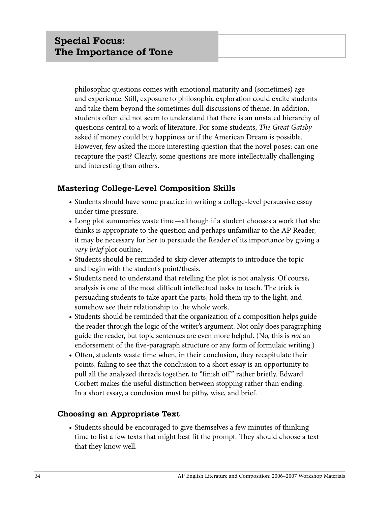philosophic questions comes with emotional maturity and (sometimes) age and experience. Still, exposure to philosophic exploration could excite students and take them beyond the sometimes dull discussions of theme. In addition, students often did not seem to understand that there is an unstated hierarchy of questions central to a work of literature. For some students, *The Great Gatsby* asked if money could buy happiness or if the American Dream is possible. However, few asked the more interesting question that the novel poses: can one recapture the past? Clearly, some questions are more intellectually challenging and interesting than others.

## **Mastering College-Level Composition Skills**

- Students should have some practice in writing a college-level persuasive essay under time pressure.
- Long plot summaries waste time—although if a student chooses a work that she thinks is appropriate to the question and perhaps unfamiliar to the AP Reader, it may be necessary for her to persuade the Reader of its importance by giving a *very brief* plot outline.
- Students should be reminded to skip clever attempts to introduce the topic and begin with the student's point/thesis.
- Students need to understand that retelling the plot is not analysis. Of course, analysis is one of the most difficult intellectual tasks to teach. The trick is persuading students to take apart the parts, hold them up to the light, and somehow see their relationship to the whole work.
- Students should be reminded that the organization of a composition helps guide the reader through the logic of the writer's argument. Not only does paragraphing guide the reader, but topic sentences are even more helpful. (No, this is *not* an endorsement of the five-paragraph structure or any form of formulaic writing.)
- Often, students waste time when, in their conclusion, they recapitulate their points, failing to see that the conclusion to a short essay is an opportunity to pull all the analyzed threads together, to "finish off " rather briefly. Edward Corbett makes the useful distinction between stopping rather than ending. In a short essay, a conclusion must be pithy, wise, and brief.

#### **Choosing an Appropriate Text**

• Students should be encouraged to give themselves a few minutes of thinking time to list a few texts that might best fit the prompt. They should choose a text that they know well.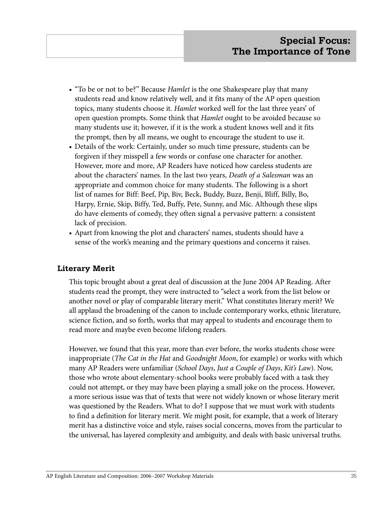- "To be or not to be?" Because *Hamlet* is the one Shakespeare play that many students read and know relatively well, and it fits many of the AP open question topics, many students choose it. *Hamlet* worked well for the last three years' of open question prompts. Some think that *Hamlet* ought to be avoided because so many students use it; however, if it is the work a student knows well and it fits the prompt, then by all means, we ought to encourage the student to use it.
- Details of the work: Certainly, under so much time pressure, students can be forgiven if they misspell a few words or confuse one character for another. However, more and more, AP Readers have noticed how careless students are about the characters' names. In the last two years, *Death of a Salesman* was an appropriate and common choice for many students. The following is a short list of names for Biff: Beef, Pip, Biv, Beck, Buddy, Buzz, Benji, Bliff, Billy, Bo, Harpy, Ernie, Skip, Biffy, Ted, Buffy, Pete, Sunny, and Mic. Although these slips do have elements of comedy, they often signal a pervasive pattern: a consistent lack of precision.
- Apart from knowing the plot and characters' names, students should have a sense of the work's meaning and the primary questions and concerns it raises.

#### **Literary Merit**

This topic brought about a great deal of discussion at the June 2004 AP Reading. After students read the prompt, they were instructed to "select a work from the list below or another novel or play of comparable literary merit." What constitutes literary merit? We all applaud the broadening of the canon to include contemporary works, ethnic literature, science fiction, and so forth, works that may appeal to students and encourage them to read more and maybe even become lifelong readers.

However, we found that this year, more than ever before, the works students chose were inappropriate (*The Cat in the Hat* and *Goodnight Moon*, for example) or works with which many AP Readers were unfamiliar (*School Days*, *Just a Couple of Days*, *Kit's Law*). Now, those who wrote about elementary-school books were probably faced with a task they could not attempt, or they may have been playing a small joke on the process. However, a more serious issue was that of texts that were not widely known or whose literary merit was questioned by the Readers. What to do? I suppose that we must work with students to find a definition for literary merit. We might posit, for example, that a work of literary merit has a distinctive voice and style, raises social concerns, moves from the particular to the universal, has layered complexity and ambiguity, and deals with basic universal truths.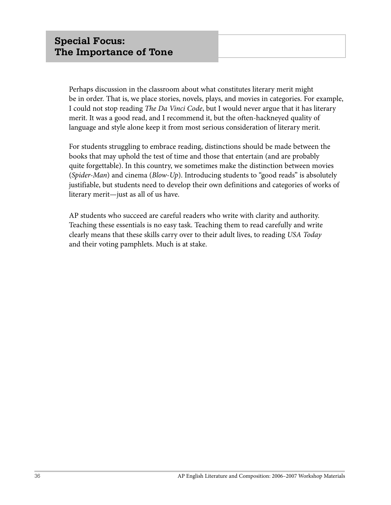Perhaps discussion in the classroom about what constitutes literary merit might be in order. That is, we place stories, novels, plays, and movies in categories. For example, I could not stop reading *The Da Vinci Code*, but I would never argue that it has literary merit. It was a good read, and I recommend it, but the often-hackneyed quality of language and style alone keep it from most serious consideration of literary merit.

For students struggling to embrace reading, distinctions should be made between the books that may uphold the test of time and those that entertain (and are probably quite forgettable). In this country, we sometimes make the distinction between movies (*Spider-Man*) and cinema (*Blow-Up*). Introducing students to "good reads" is absolutely justifiable, but students need to develop their own definitions and categories of works of literary merit—just as all of us have.

AP students who succeed are careful readers who write with clarity and authority. Teaching these essentials is no easy task. Teaching them to read carefully and write clearly means that these skills carry over to their adult lives, to reading *USA Today*  and their voting pamphlets. Much is at stake.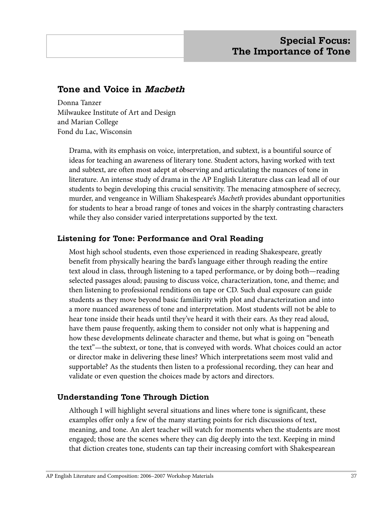# **Tone and Voice in Macbeth**

Donna Tanzer Milwaukee Institute of Art and Design and Marian College Fond du Lac, Wisconsin

Drama, with its emphasis on voice, interpretation, and subtext, is a bountiful source of ideas for teaching an awareness of literary tone. Student actors, having worked with text and subtext, are often most adept at observing and articulating the nuances of tone in literature. An intense study of drama in the AP English Literature class can lead all of our students to begin developing this crucial sensitivity. The menacing atmosphere of secrecy, murder, and vengeance in William Shakespeare's *Macbeth* provides abundant opportunities for students to hear a broad range of tones and voices in the sharply contrasting characters while they also consider varied interpretations supported by the text.

#### **Listening for Tone: Performance and Oral Reading**

Most high school students, even those experienced in reading Shakespeare, greatly benefit from physically hearing the bard's language either through reading the entire text aloud in class, through listening to a taped performance, or by doing both—reading selected passages aloud; pausing to discuss voice, characterization, tone, and theme; and then listening to professional renditions on tape or CD. Such dual exposure can guide students as they move beyond basic familiarity with plot and characterization and into a more nuanced awareness of tone and interpretation. Most students will not be able to hear tone inside their heads until they've heard it with their ears. As they read aloud, have them pause frequently, asking them to consider not only what is happening and how these developments delineate character and theme, but what is going on "beneath the text"—the subtext, or tone, that is conveyed with words. What choices could an actor or director make in delivering these lines? Which interpretations seem most valid and supportable? As the students then listen to a professional recording, they can hear and validate or even question the choices made by actors and directors.

#### **Understanding Tone Through Diction**

Although I will highlight several situations and lines where tone is significant, these examples offer only a few of the many starting points for rich discussions of text, meaning, and tone. An alert teacher will watch for moments when the students are most engaged; those are the scenes where they can dig deeply into the text. Keeping in mind that diction creates tone, students can tap their increasing comfort with Shakespearean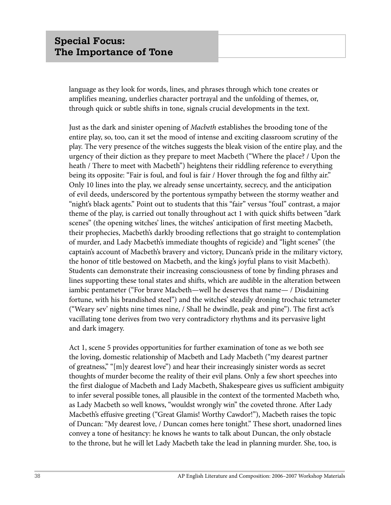language as they look for words, lines, and phrases through which tone creates or amplifies meaning, underlies character portrayal and the unfolding of themes, or, through quick or subtle shifts in tone, signals crucial developments in the text.

Just as the dark and sinister opening of *Macbeth* establishes the brooding tone of the entire play, so, too, can it set the mood of intense and exciting classroom scrutiny of the play. The very presence of the witches suggests the bleak vision of the entire play, and the urgency of their diction as they prepare to meet Macbeth ("Where the place? / Upon the heath / There to meet with Macbeth") heightens their riddling reference to everything being its opposite: "Fair is foul, and foul is fair / Hover through the fog and filthy air." Only 10 lines into the play, we already sense uncertainty, secrecy, and the anticipation of evil deeds, underscored by the portentous sympathy between the stormy weather and "night's black agents." Point out to students that this "fair" versus "foul" contrast, a major theme of the play, is carried out tonally throughout act 1 with quick shifts between "dark scenes" (the opening witches' lines, the witches' anticipation of first meeting Macbeth, their prophecies, Macbeth's darkly brooding reflections that go straight to contemplation of murder, and Lady Macbeth's immediate thoughts of regicide) and "light scenes" (the captain's account of Macbeth's bravery and victory, Duncan's pride in the military victory, the honor of title bestowed on Macbeth, and the king's joyful plans to visit Macbeth). Students can demonstrate their increasing consciousness of tone by finding phrases and lines supporting these tonal states and shifts, which are audible in the alteration between iambic pentameter ("For brave Macbeth—well he deserves that name— / Disdaining fortune, with his brandished steel") and the witches' steadily droning trochaic tetrameter ("Weary sev' nights nine times nine, / Shall he dwindle, peak and pine"). The first act's vacillating tone derives from two very contradictory rhythms and its pervasive light and dark imagery.

Act 1, scene 5 provides opportunities for further examination of tone as we both see the loving, domestic relationship of Macbeth and Lady Macbeth ("my dearest partner of greatness," "[m]y dearest love") and hear their increasingly sinister words as secret thoughts of murder become the reality of their evil plans. Only a few short speeches into the first dialogue of Macbeth and Lady Macbeth, Shakespeare gives us sufficient ambiguity to infer several possible tones, all plausible in the context of the tormented Macbeth who, as Lady Macbeth so well knows, "wouldst wrongly win" the coveted throne. After Lady Macbeth's effusive greeting ("Great Glamis! Worthy Cawdor!"), Macbeth raises the topic of Duncan: "My dearest love, / Duncan comes here tonight." These short, unadorned lines convey a tone of hesitancy: he knows he wants to talk about Duncan, the only obstacle to the throne, but he will let Lady Macbeth take the lead in planning murder. She, too, is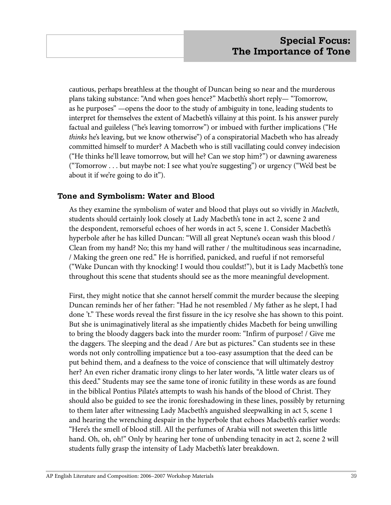cautious, perhaps breathless at the thought of Duncan being so near and the murderous plans taking substance: "And when goes hence?" Macbeth's short reply— "Tomorrow, as he purposes" —opens the door to the study of ambiguity in tone, leading students to interpret for themselves the extent of Macbeth's villainy at this point. Is his answer purely factual and guileless ("he's leaving tomorrow") or imbued with further implications ("He *thinks* he's leaving, but we know otherwise") of a conspiratorial Macbeth who has already committed himself to murder? A Macbeth who is still vacillating could convey indecision ("He thinks he'll leave tomorrow, but will he? Can we stop him?") or dawning awareness ("Tomorrow . . . but maybe not: I see what you're suggesting") or urgency ("We'd best be about it if we're going to do it").

#### **Tone and Symbolism: Water and Blood**

As they examine the symbolism of water and blood that plays out so vividly in *Macbeth*, students should certainly look closely at Lady Macbeth's tone in act 2, scene 2 and the despondent, remorseful echoes of her words in act 5, scene 1. Consider Macbeth's hyperbole after he has killed Duncan: "Will all great Neptune's ocean wash this blood / Clean from my hand? No; this my hand will rather / the multitudinous seas incarnadine, / Making the green one red." He is horrified, panicked, and rueful if not remorseful ("Wake Duncan with thy knocking! I would thou couldst!"), but it is Lady Macbeth's tone throughout this scene that students should see as the more meaningful development.

First, they might notice that she cannot herself commit the murder because the sleeping Duncan reminds her of her father: "Had he not resembled / My father as he slept, I had done 't." These words reveal the first fissure in the icy resolve she has shown to this point. But she is unimaginatively literal as she impatiently chides Macbeth for being unwilling to bring the bloody daggers back into the murder room: "Infirm of purpose! / Give me the daggers. The sleeping and the dead / Are but as pictures." Can students see in these words not only controlling impatience but a too-easy assumption that the deed can be put behind them, and a deafness to the voice of conscience that will ultimately destroy her? An even richer dramatic irony clings to her later words, "A little water clears us of this deed." Students may see the same tone of ironic futility in these words as are found in the biblical Pontius Pilate's attempts to wash his hands of the blood of Christ. They should also be guided to see the ironic foreshadowing in these lines, possibly by returning to them later after witnessing Lady Macbeth's anguished sleepwalking in act 5, scene 1 and hearing the wrenching despair in the hyperbole that echoes Macbeth's earlier words: "Here's the smell of blood still. All the perfumes of Arabia will not sweeten this little hand. Oh, oh, oh!" Only by hearing her tone of unbending tenacity in act 2, scene 2 will students fully grasp the intensity of Lady Macbeth's later breakdown.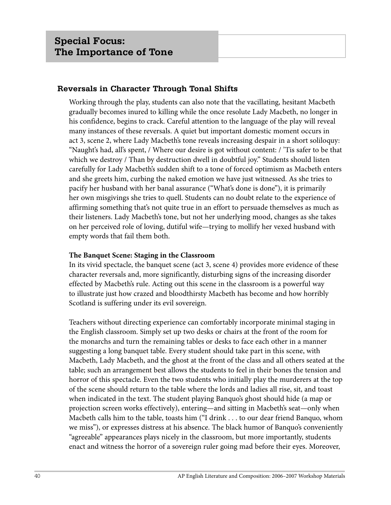#### **Reversals in Character Through Tonal Shifts**

Working through the play, students can also note that the vacillating, hesitant Macbeth gradually becomes inured to killing while the once resolute Lady Macbeth, no longer in his confidence, begins to crack. Careful attention to the language of the play will reveal many instances of these reversals. A quiet but important domestic moment occurs in act 3, scene 2, where Lady Macbeth's tone reveals increasing despair in a short soliloquy: "Naught's had, all's spent, / Where our desire is got without content: / 'Tis safer to be that which we destroy / Than by destruction dwell in doubtful joy." Students should listen carefully for Lady Macbeth's sudden shift to a tone of forced optimism as Macbeth enters and she greets him, curbing the naked emotion we have just witnessed. As she tries to pacify her husband with her banal assurance ("What's done is done"), it is primarily her own misgivings she tries to quell. Students can no doubt relate to the experience of affirming something that's not quite true in an effort to persuade themselves as much as their listeners. Lady Macbeth's tone, but not her underlying mood, changes as she takes on her perceived role of loving, dutiful wife—trying to mollify her vexed husband with empty words that fail them both.

#### **The Banquet Scene: Staging in the Classroom**

In its vivid spectacle, the banquet scene (act 3, scene 4) provides more evidence of these character reversals and, more significantly, disturbing signs of the increasing disorder effected by Macbeth's rule. Acting out this scene in the classroom is a powerful way to illustrate just how crazed and bloodthirsty Macbeth has become and how horribly Scotland is suffering under its evil sovereign.

Teachers without directing experience can comfortably incorporate minimal staging in the English classroom. Simply set up two desks or chairs at the front of the room for the monarchs and turn the remaining tables or desks to face each other in a manner suggesting a long banquet table. Every student should take part in this scene, with Macbeth, Lady Macbeth, and the ghost at the front of the class and all others seated at the table; such an arrangement best allows the students to feel in their bones the tension and horror of this spectacle. Even the two students who initially play the murderers at the top of the scene should return to the table where the lords and ladies all rise, sit, and toast when indicated in the text. The student playing Banquo's ghost should hide (a map or projection screen works effectively), entering—and sitting in Macbeth's seat—only when Macbeth calls him to the table, toasts him ("I drink . . . to our dear friend Banquo, whom we miss"), or expresses distress at his absence. The black humor of Banquo's conveniently "agreeable" appearances plays nicely in the classroom, but more importantly, students enact and witness the horror of a sovereign ruler going mad before their eyes. Moreover,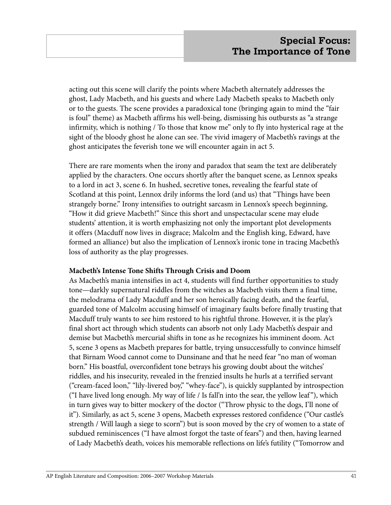acting out this scene will clarify the points where Macbeth alternately addresses the ghost, Lady Macbeth, and his guests and where Lady Macbeth speaks to Macbeth only or to the guests. The scene provides a paradoxical tone (bringing again to mind the "fair is foul" theme) as Macbeth affirms his well-being, dismissing his outbursts as "a strange infirmity, which is nothing / To those that know me" only to fly into hysterical rage at the sight of the bloody ghost he alone can see. The vivid imagery of Macbeth's ravings at the ghost anticipates the feverish tone we will encounter again in act 5.

There are rare moments when the irony and paradox that seam the text are deliberately applied by the characters. One occurs shortly after the banquet scene, as Lennox speaks to a lord in act 3, scene 6. In hushed, secretive tones, revealing the fearful state of Scotland at this point, Lennox drily informs the lord (and us) that "Things have been strangely borne." Irony intensifies to outright sarcasm in Lennox's speech beginning, "How it did grieve Macbeth!" Since this short and unspectacular scene may elude students' attention, it is worth emphasizing not only the important plot developments it offers (Macduff now lives in disgrace; Malcolm and the English king, Edward, have formed an alliance) but also the implication of Lennox's ironic tone in tracing Macbeth's loss of authority as the play progresses.

#### **Macbeth's Intense Tone Shifts Through Crisis and Doom**

As Macbeth's mania intensifies in act 4, students will find further opportunities to study tone—darkly supernatural riddles from the witches as Macbeth visits them a final time, the melodrama of Lady Macduff and her son heroically facing death, and the fearful, guarded tone of Malcolm accusing himself of imaginary faults before finally trusting that Macduff truly wants to see him restored to his rightful throne. However, it is the play's final short act through which students can absorb not only Lady Macbeth's despair and demise but Macbeth's mercurial shifts in tone as he recognizes his imminent doom. Act 5, scene 3 opens as Macbeth prepares for battle, trying unsuccessfully to convince himself that Birnam Wood cannot come to Dunsinane and that he need fear "no man of woman born." His boastful, overconfident tone betrays his growing doubt about the witches' riddles, and his insecurity, revealed in the frenzied insults he hurls at a terrified servant ("cream-faced loon," "lily-livered boy," "whey-face"), is quickly supplanted by introspection ("I have lived long enough. My way of life / Is fall'n into the sear, the yellow leaf "), which in turn gives way to bitter mockery of the doctor ("Throw physic to the dogs, I'll none of it"). Similarly, as act 5, scene 3 opens, Macbeth expresses restored confidence ("Our castle's strength / Will laugh a siege to scorn") but is soon moved by the cry of women to a state of subdued reminiscences ("I have almost forgot the taste of fears") and then, having learned of Lady Macbeth's death, voices his memorable reflections on life's futility ("Tomorrow and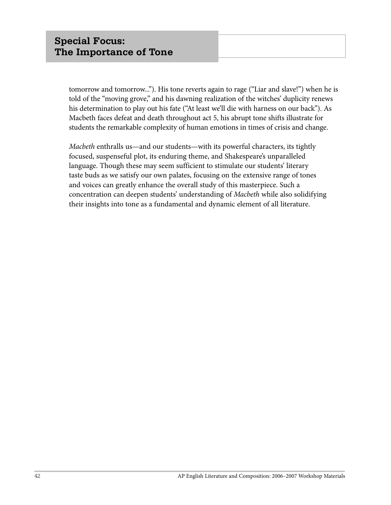tomorrow and tomorrow..."). His tone reverts again to rage ("Liar and slave!") when he is told of the "moving grove," and his dawning realization of the witches' duplicity renews his determination to play out his fate ("At least we'll die with harness on our back"). As Macbeth faces defeat and death throughout act 5, his abrupt tone shifts illustrate for students the remarkable complexity of human emotions in times of crisis and change.

*Macbeth* enthralls us—and our students—with its powerful characters, its tightly focused, suspenseful plot, its enduring theme, and Shakespeare's unparalleled language. Though these may seem sufficient to stimulate our students' literary taste buds as we satisfy our own palates, focusing on the extensive range of tones and voices can greatly enhance the overall study of this masterpiece. Such a concentration can deepen students' understanding of *Macbeth* while also solidifying their insights into tone as a fundamental and dynamic element of all literature.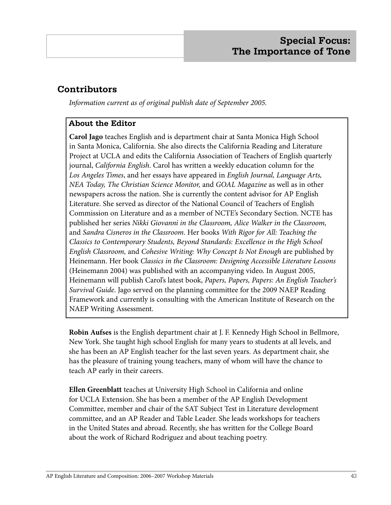# **Contributors**

*Information current as of original publish date of September 2005.*

## **About the Editor**

**Carol Jago** teaches English and is department chair at Santa Monica High School in Santa Monica, California. She also directs the California Reading and Literature Project at UCLA and edits the California Association of Teachers of English quarterly journal, *California English*. Carol has written a weekly education column for the *Los Angeles Times*, and her essays have appeared in *English Journal, Language Arts, NEA Today, The Christian Science Monitor,* and *GOAL Magazine* as well as in other newspapers across the nation. She is currently the content advisor for AP English Literature. She served as director of the National Council of Teachers of English Commission on Literature and as a member of NCTE's Secondary Section. NCTE has published her series *Nikki Giovanni in the Classroom, Alice Walker in the Classroom,* and *Sandra Cisneros in the Classroom*. Her books *With Rigor for All: Teaching the Classics to Contemporary Students, Beyond Standards: Excellence in the High School English Classroom,* and *Cohesive Writing: Why Concept Is Not Enough* are published by Heinemann. Her book *Classics in the Classroom: Designing Accessible Literature Lessons* (Heinemann 2004) was published with an accompanying video. In August 2005, Heinemann will publish Carol's latest book, *Papers, Papers, Papers: An English Teacher's Survival Guide*. Jago served on the planning committee for the 2009 NAEP Reading Framework and currently is consulting with the American Institute of Research on the NAEP Writing Assessment.

**Robin Aufses** is the English department chair at J. F. Kennedy High School in Bellmore, New York. She taught high school English for many years to students at all levels, and she has been an AP English teacher for the last seven years. As department chair, she has the pleasure of training young teachers, many of whom will have the chance to teach AP early in their careers.

**Ellen Greenblatt** teaches at University High School in California and online for UCLA Extension. She has been a member of the AP English Development Committee, member and chair of the SAT Subject Test in Literature development committee, and an AP Reader and Table Leader. She leads workshops for teachers in the United States and abroad. Recently, she has written for the College Board about the work of Richard Rodriguez and about teaching poetry.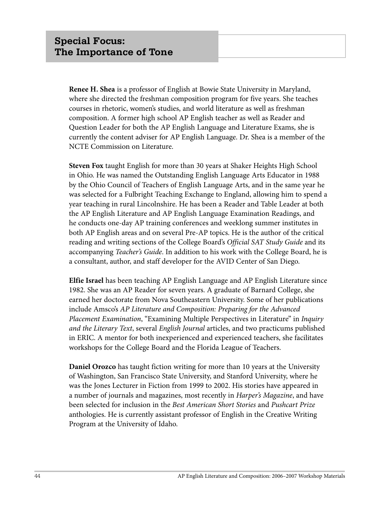**Renee H. Shea** is a professor of English at Bowie State University in Maryland, where she directed the freshman composition program for five years. She teaches courses in rhetoric, women's studies, and world literature as well as freshman composition. A former high school AP English teacher as well as Reader and Question Leader for both the AP English Language and Literature Exams, she is currently the content adviser for AP English Language. Dr. Shea is a member of the NCTE Commission on Literature.

**Steven Fox** taught English for more than 30 years at Shaker Heights High School in Ohio. He was named the Outstanding English Language Arts Educator in 1988 by the Ohio Council of Teachers of English Language Arts, and in the same year he was selected for a Fulbright Teaching Exchange to England, allowing him to spend a year teaching in rural Lincolnshire. He has been a Reader and Table Leader at both the AP English Literature and AP English Language Examination Readings, and he conducts one-day AP training conferences and weeklong summer institutes in both AP English areas and on several Pre-AP topics. He is the author of the critical reading and writing sections of the College Board's *Official SAT Study Guide* and its accompanying *Teacher's Guide*. In addition to his work with the College Board, he is a consultant, author, and staff developer for the AVID Center of San Diego.

**Elfie Israel** has been teaching AP English Language and AP English Literature since 1982. She was an AP Reader for seven years. A graduate of Barnard College, she earned her doctorate from Nova Southeastern University. Some of her publications include Amsco's *AP Literature and Composition: Preparing for the Advanced Placement Examination*, "Examining Multiple Perspectives in Literature" in *Inquiry and the Literary Text*, several *English Journal* articles, and two practicums published in ERIC. A mentor for both inexperienced and experienced teachers, she facilitates workshops for the College Board and the Florida League of Teachers.

**Daniel Orozco** has taught fiction writing for more than 10 years at the University of Washington, San Francisco State University, and Stanford University, where he was the Jones Lecturer in Fiction from 1999 to 2002. His stories have appeared in a number of journals and magazines, most recently in *Harper's Magazine*, and have been selected for inclusion in the *Best American Short Stories* and *Pushcart Prize* anthologies. He is currently assistant professor of English in the Creative Writing Program at the University of Idaho.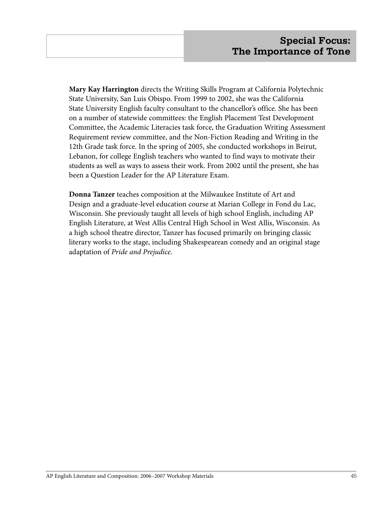**Mary Kay Harrington** directs the Writing Skills Program at California Polytechnic State University, San Luis Obispo. From 1999 to 2002, she was the California State University English faculty consultant to the chancellor's office. She has been on a number of statewide committees: the English Placement Test Development Committee, the Academic Literacies task force, the Graduation Writing Assessment Requirement review committee, and the Non-Fiction Reading and Writing in the 12th Grade task force. In the spring of 2005, she conducted workshops in Beirut, Lebanon, for college English teachers who wanted to find ways to motivate their students as well as ways to assess their work. From 2002 until the present, she has been a Question Leader for the AP Literature Exam.

**Donna Tanzer** teaches composition at the Milwaukee Institute of Art and Design and a graduate-level education course at Marian College in Fond du Lac, Wisconsin. She previously taught all levels of high school English, including AP English Literature, at West Allis Central High School in West Allis, Wisconsin. As a high school theatre director, Tanzer has focused primarily on bringing classic literary works to the stage, including Shakespearean comedy and an original stage adaptation of *Pride and Prejudice*.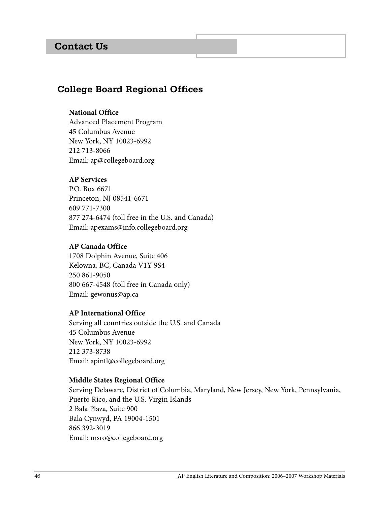# **Contact Us**

# **College Board Regional Offices**

#### **National Office**

Advanced Placement Program 45 Columbus Avenue New York, NY 10023-6992 212 713-8066 Email: ap@collegeboard.org

#### **AP Services**

P.O. Box 6671 Princeton, NJ 08541-6671 609 771-7300 877 274-6474 (toll free in the U.S. and Canada) Email: apexams@info.collegeboard.org

#### **AP Canada Office**

1708 Dolphin Avenue, Suite 406 Kelowna, BC, Canada V1Y 9S4 250 861-9050 800 667-4548 (toll free in Canada only) Email: gewonus@ap.ca

#### **AP International Office**

Serving all countries outside the U.S. and Canada 45 Columbus Avenue New York, NY 10023-6992 212 373-8738 Email: apintl@collegeboard.org

#### **Middle States Regional Office**

Serving Delaware, District of Columbia, Maryland, New Jersey, New York, Pennsylvania, Puerto Rico, and the U.S. Virgin Islands 2 Bala Plaza, Suite 900 Bala Cynwyd, PA 19004-1501 866 392-3019 Email: msro@collegeboard.org